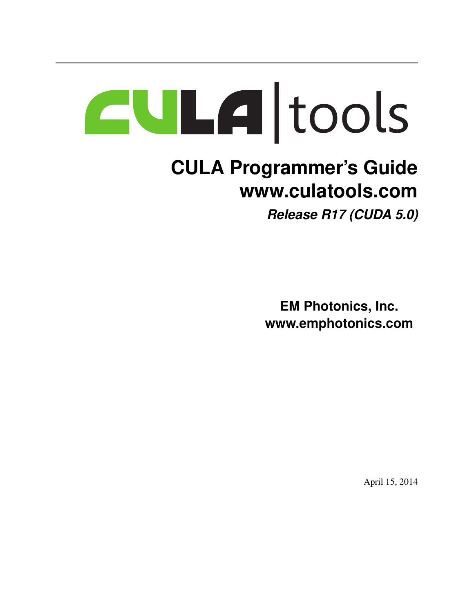# |tools

# **CULA Programmer's Guide www.culatools.com** *Release R17 (CUDA 5.0)*

**EM Photonics, Inc. www.emphotonics.com**

April 15, 2014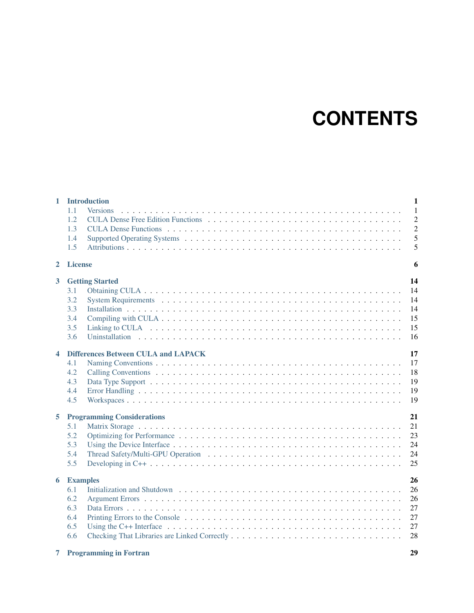# **CONTENTS**

| $\mathbf{1}$   | <b>Introduction</b><br>1.1<br><b>Versions</b><br>1.2<br>1.3<br>1.4<br>1.5                                         | $\mathbf{1}$<br>$\mathbf{1}$<br>$\overline{c}$<br>$\overline{2}$<br>5<br>5 |
|----------------|-------------------------------------------------------------------------------------------------------------------|----------------------------------------------------------------------------|
| $\overline{2}$ | <b>License</b>                                                                                                    | 6                                                                          |
| 3 <sup>1</sup> | <b>Getting Started</b><br>14<br>14<br>3.1<br>3.2<br>14<br>3.3<br>14<br>3.4<br>15<br>3.5<br>15<br>3.6<br>16        |                                                                            |
| 4              | 17<br><b>Differences Between CULA and LAPACK</b><br>17<br>4.1<br>18<br>4.2<br>19<br>4.3<br>19<br>4.4<br>19<br>4.5 |                                                                            |
| 5              | 21<br><b>Programming Considerations</b><br>21<br>5.1<br>5.2<br>23<br>5.3<br>24<br>24<br>5.4<br>25<br>5.5          |                                                                            |
| 6              | 26<br><b>Examples</b><br>6.1<br>26<br>6.2<br>26<br>27<br>6.3<br>27<br>6.4<br>6.5<br>27<br>28<br>6.6               |                                                                            |

| 7 Programming in Fortran |  |
|--------------------------|--|
|                          |  |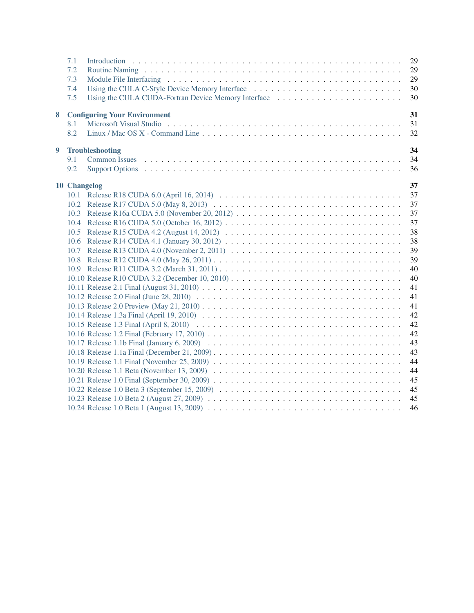|   | 7.1<br>7.2<br>7.3<br>7.4<br>7.5 | Using the CULA C-Style Device Memory Interface<br>Using the CULA CUDA-Fortran Device Memory Interface                                  | 29<br>29<br>29<br>30<br>30 |
|---|---------------------------------|----------------------------------------------------------------------------------------------------------------------------------------|----------------------------|
| 8 |                                 | <b>Configuring Your Environment</b>                                                                                                    | 31                         |
|   | 8.1<br>8.2                      |                                                                                                                                        | 31<br>32                   |
| 9 |                                 | <b>Troubleshooting</b>                                                                                                                 | 34                         |
|   | 9.1                             |                                                                                                                                        | 34                         |
|   | 9.2                             |                                                                                                                                        | 36                         |
|   | 10 Changelog                    |                                                                                                                                        | 37                         |
|   |                                 |                                                                                                                                        | 37                         |
|   |                                 |                                                                                                                                        | 37                         |
|   |                                 |                                                                                                                                        | 37                         |
|   |                                 |                                                                                                                                        | 37                         |
|   |                                 |                                                                                                                                        | 38                         |
|   |                                 |                                                                                                                                        | 38                         |
|   |                                 |                                                                                                                                        | 39                         |
|   |                                 |                                                                                                                                        | 39                         |
|   |                                 |                                                                                                                                        | 40<br>40                   |
|   |                                 |                                                                                                                                        | 41                         |
|   |                                 | 10.11 Release 2.1 Final (August 31, 2010) $\ldots \ldots \ldots \ldots \ldots \ldots \ldots \ldots \ldots \ldots \ldots \ldots \ldots$ | 41                         |
|   |                                 |                                                                                                                                        | 41                         |
|   |                                 |                                                                                                                                        | 42                         |
|   |                                 |                                                                                                                                        | 42                         |
|   |                                 |                                                                                                                                        | 42                         |
|   |                                 |                                                                                                                                        | 43                         |
|   |                                 |                                                                                                                                        | 43                         |
|   |                                 |                                                                                                                                        | 44                         |
|   |                                 |                                                                                                                                        | 44                         |
|   |                                 |                                                                                                                                        | 45                         |
|   |                                 |                                                                                                                                        | 45                         |
|   |                                 |                                                                                                                                        | 45                         |
|   |                                 |                                                                                                                                        | 46                         |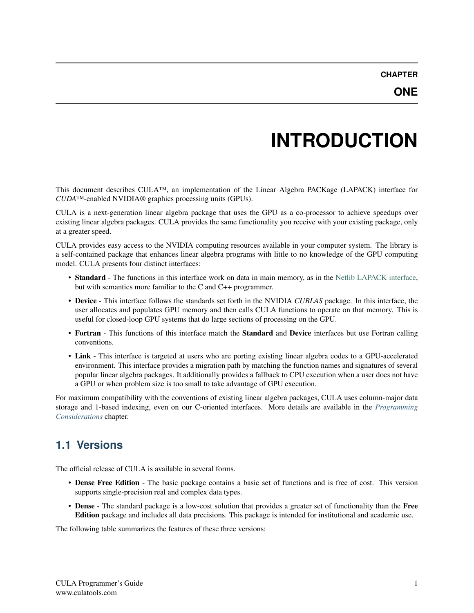# **INTRODUCTION**

<span id="page-3-0"></span>This document describes CULA™, an implementation of the Linear Algebra PACKage (LAPACK) interface for *CUDA*™-enabled NVIDIA® graphics processing units (GPUs).

CULA is a next-generation linear algebra package that uses the GPU as a co-processor to achieve speedups over existing linear algebra packages. CULA provides the same functionality you receive with your existing package, only at a greater speed.

CULA provides easy access to the NVIDIA computing resources available in your computer system. The library is a self-contained package that enhances linear algebra programs with little to no knowledge of the GPU computing model. CULA presents four distinct interfaces:

- Standard The functions in this interface work on data in main memory, as in the [Netlib LAPACK interface,](http://www.netlib.org/lapack/) but with semantics more familiar to the C and C++ programmer.
- Device This interface follows the standards set forth in the NVIDIA *CUBLAS* package. In this interface, the user allocates and populates GPU memory and then calls CULA functions to operate on that memory. This is useful for closed-loop GPU systems that do large sections of processing on the GPU.
- Fortran This functions of this interface match the **Standard** and Device interfaces but use Fortran calling conventions.
- Link This interface is targeted at users who are porting existing linear algebra codes to a GPU-accelerated environment. This interface provides a migration path by matching the function names and signatures of several popular linear algebra packages. It additionally provides a fallback to CPU execution when a user does not have a GPU or when problem size is too small to take advantage of GPU execution.

For maximum compatibility with the conventions of existing linear algebra packages, CULA uses column-major data storage and 1-based indexing, even on our C-oriented interfaces. More details are available in the *[Programming](#page-23-0) [Considerations](#page-23-0)* chapter.

# <span id="page-3-1"></span>**1.1 Versions**

The official release of CULA is available in several forms.

- Dense Free Edition The basic package contains a basic set of functions and is free of cost. This version supports single-precision real and complex data types.
- Dense The standard package is a low-cost solution that provides a greater set of functionality than the Free Edition package and includes all data precisions. This package is intended for institutional and academic use.

The following table summarizes the features of these three versions: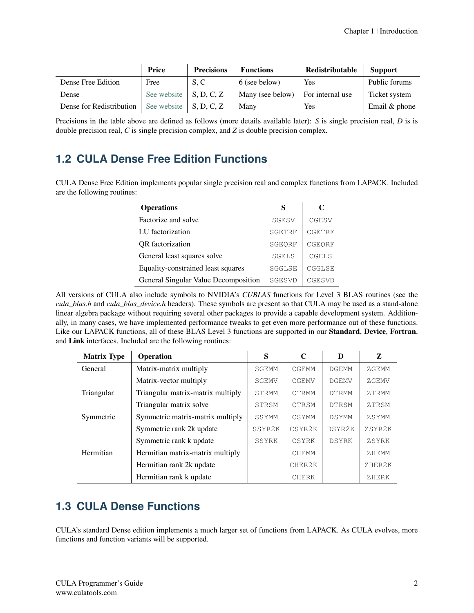|                          | Price                                | <b>Precisions</b> | <b>Functions</b> | Redistributable  | <b>Support</b>  |
|--------------------------|--------------------------------------|-------------------|------------------|------------------|-----------------|
| Dense Free Edition       | Free                                 | S.C               | 6 (see below)    | Yes              | Public forums   |
| Dense                    | See website $\vert S, D, C, Z \vert$ |                   | Many (see below) | For internal use | Ticket system   |
| Dense for Redistribution | See website $\vert S, D, C, Z \vert$ |                   | Many             | Yes              | Email $&$ phone |

Precisions in the table above are defined as follows (more details available later): *S* is single precision real, *D* is is double precision real, *C* is single precision complex, and *Z* is double precision complex.

# <span id="page-4-0"></span>**1.2 CULA Dense Free Edition Functions**

CULA Dense Free Edition implements popular single precision real and complex functions from LAPACK. Included are the following routines:

| <b>Operations</b>                    | S             | C      |
|--------------------------------------|---------------|--------|
| Factorize and solve                  | SGESV         | CGESV  |
| LU factorization                     | <b>SGETRF</b> | CGETRF |
| OR factorization                     | SGEORF        | CGEORF |
| General least squares solve          | SGELS         | CGELS  |
| Equality-constrained least squares   | SGGLSE        | CGGLSE |
| General Singular Value Decomposition | SGESVD        | CGESVD |

All versions of CULA also include symbols to NVIDIA's *CUBLAS* functions for Level 3 BLAS routines (see the *cula\_blas.h* and *cula\_blas\_device.h* headers). These symbols are present so that CULA may be used as a stand-alone linear algebra package without requiring several other packages to provide a capable development system. Additionally, in many cases, we have implemented performance tweaks to get even more performance out of these functions. Like our LAPACK functions, all of these BLAS Level 3 functions are supported in our Standard, Device, Fortran, and Link interfaces. Included are the following routines:

| <b>Matrix Type</b> | <b>Operation</b>                  | S            | $\mathbf C$  | D            | Z      |
|--------------------|-----------------------------------|--------------|--------------|--------------|--------|
| General            | Matrix-matrix multiply            | SGEMM        | <b>CGEMM</b> | <b>DGEMM</b> | ZGEMM  |
|                    | Matrix-vector multiply            | <b>SGEMV</b> | <b>CGEMV</b> | <b>DGEMV</b> | ZGEMV  |
| Triangular         | Triangular matrix-matrix multiply | <b>STRMM</b> | <b>CTRMM</b> | <b>DTRMM</b> | ZTRMM  |
|                    | Triangular matrix solve           | STRSM        | CTRSM        | <b>DTRSM</b> | ZTRSM  |
| Symmetric          | Symmetric matrix-matrix multiply  | SSYMM        | <b>CSYMM</b> | <b>DSYMM</b> | ZSYMM  |
|                    | Symmetric rank 2k update          | SSYR2K       | CSYR2K       | DSYR2K       | ZSYR2K |
|                    | Symmetric rank k update           | SSYRK        | <b>CSYRK</b> | <b>DSYRK</b> | ZSYRK  |
| Hermitian          | Hermitian matrix-matrix multiply  |              | <b>CHEMM</b> |              | ZHEMM  |
|                    | Hermitian rank 2k update          |              | CHER2K       |              | ZHER2K |
|                    | Hermitian rank k update           |              | <b>CHERK</b> |              | ZHERK  |

# <span id="page-4-1"></span>**1.3 CULA Dense Functions**

CULA's standard Dense edition implements a much larger set of functions from LAPACK. As CULA evolves, more functions and function variants will be supported.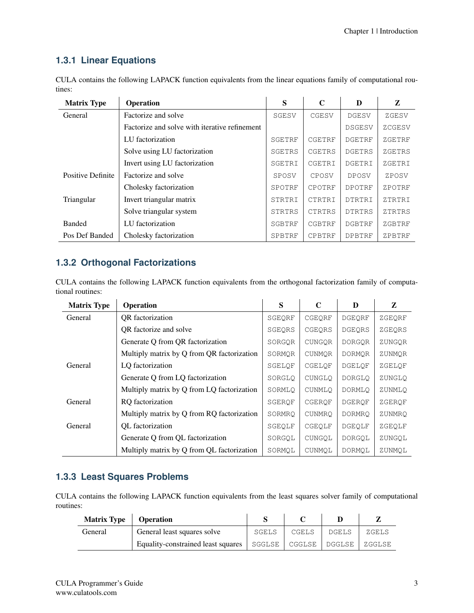# **1.3.1 Linear Equations**

CULA contains the following LAPACK function equivalents from the linear equations family of computational routines:

| <b>Matrix Type</b>       | Operation                                     | S      | C             | D             | Z      |
|--------------------------|-----------------------------------------------|--------|---------------|---------------|--------|
| General                  | Factorize and solve                           | SGESV  | CGESV         | <b>DGESV</b>  | ZGESV  |
|                          | Factorize and solve with iterative refinement |        |               | DSGESV        | ZCGESV |
|                          | LU factorization                              | SGETRF | CGETRF        | <b>DGETRF</b> | ZGETRF |
|                          | Solve using LU factorization                  | SGETRS | CGETRS        | <b>DGETRS</b> | ZGETRS |
|                          | Invert using LU factorization                 | SGETRI | CGETRI        | DGETRI        | ZGETRI |
| <b>Positive Definite</b> | Factorize and solve                           | SPOSV  | <b>CPOSV</b>  | <b>DPOSV</b>  | ZPOSV  |
|                          | Cholesky factorization                        | SPOTRF | CPOTRF        | DPOTRF        | ZPOTRF |
| Triangular               | Invert triangular matrix                      | STRTRI | CTRTRI        | <b>DTRTRI</b> | ZTRTRI |
|                          | Solve triangular system                       | STRTRS | CTRTRS        | <b>DTRTRS</b> | ZTRTRS |
| <b>Banded</b>            | LU factorization                              | SGBTRF | CGBTRF        | <b>DGBTRF</b> | ZGBTRF |
| Pos Def Banded           | Cholesky factorization                        | SPBTRF | <b>CPBTRF</b> | <b>DPBTRF</b> | ZPBTRF |

# **1.3.2 Orthogonal Factorizations**

CULA contains the following LAPACK function equivalents from the orthogonal factorization family of computational routines:

| <b>Matrix Type</b> | Operation                                  | S      | $\mathbf C$   | D             | Z      |
|--------------------|--------------------------------------------|--------|---------------|---------------|--------|
| General            | OR factorization                           | SGEQRF | CGEORF        | <b>DGEORF</b> | ZGEORF |
|                    | OR factorize and solve                     | SGEQRS | CGEORS        | <b>DGEORS</b> | ZGEORS |
|                    | Generate Q from QR factorization           | SORGOR | CUNGQR        | DORGQR        | ZUNGQR |
|                    | Multiply matrix by Q from QR factorization | SORMOR | CUNMQR        | <b>DORMOR</b> | ZUNMOR |
| General            | LO factorization                           | SGELQF | CGELOF        | DGELQF        | ZGELOF |
|                    | Generate Q from LQ factorization           | SORGLO | <b>CUNGLO</b> | <b>DORGLO</b> | ZUNGLO |
|                    | Multiply matrix by Q from LQ factorization | SORMLO | <b>CUNMLO</b> | <b>DORMLO</b> | ZUNMLO |
| General            | RQ factorization                           | SGERQF | CGEROF        | <b>DGEROF</b> | ZGERQF |
|                    | Multiply matrix by Q from RQ factorization | SORMRO | <b>CUNMRO</b> | <b>DORMRO</b> | ZUNMRO |
| General            | QL factorization                           | SGEQLF | CGEOLF        | DGEOLF        | ZGEOLF |
|                    | Generate Q from QL factorization           | SORGQL | CUNGOL        | <b>DORGOL</b> | ZUNGOL |
|                    | Multiply matrix by Q from QL factorization | SORMOL | CUNMOL        | <b>DORMOL</b> | ZUNMOL |

# **1.3.3 Least Squares Problems**

CULA contains the following LAPACK function equivalents from the least squares solver family of computational routines:

| Matrix Type   Operation |                                    |       |       |                          |        |
|-------------------------|------------------------------------|-------|-------|--------------------------|--------|
| General                 | General least squares solve        | SGELS | CGELS | DGELS                    | ZGELS  |
|                         | Equality-constrained least squares |       |       | SGGLSE   CGGLSE   DGGLSE | ZGGLSE |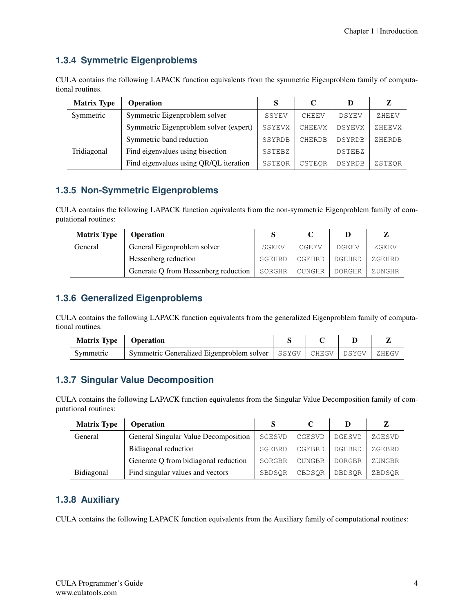# **1.3.4 Symmetric Eigenproblems**

CULA contains the following LAPACK function equivalents from the symmetric Eigenproblem family of computational routines.

| <b>Matrix Type</b> | <b>Operation</b>                       | S             |               | D             |        |
|--------------------|----------------------------------------|---------------|---------------|---------------|--------|
| Symmetric          | Symmetric Eigenproblem solver          | SSYEV         | <b>CHEEV</b>  | DSYEV         | ZHEEV  |
|                    | Symmetric Eigenproblem solver (expert) | SSYEVX        | CHEEVX        | <b>DSYEVX</b> | ZHEEVX |
|                    | Symmetric band reduction               | SSYRDB        | <b>CHERDB</b> | <b>DSYRDB</b> | ZHERDB |
| Tridiagonal        | Find eigenvalues using bisection       | <b>SSTEBZ</b> |               | <b>DSTEBZ</b> |        |
|                    | Find eigenvalues using QR/QL iteration | SSTEOR        | CSTEOR        | DSYRDB        | ZSTEOR |

# **1.3.5 Non-Symmetric Eigenproblems**

CULA contains the following LAPACK function equivalents from the non-symmetric Eigenproblem family of computational routines:

| <b>Matrix Type</b> | <b>Operation</b>                     |        |        | D      |        |
|--------------------|--------------------------------------|--------|--------|--------|--------|
| General            | General Eigenproblem solver          | SGEEV  | CGEEV  | DGEEV  | ZGEEV  |
|                    | Hessenberg reduction                 | SGEHRD | CGEHRD | DGEHRD | ZGEHRD |
|                    | Generate O from Hessenberg reduction | SORGHR | CUNGHR | DORGHR | ZUNGHR |

# **1.3.6 Generalized Eigenproblems**

CULA contains the following LAPACK function equivalents from the generalized Eigenproblem family of computational routines.

| Matrix Type   Operation |                                                                                                   |  |  |
|-------------------------|---------------------------------------------------------------------------------------------------|--|--|
| Symmetric               | Symmetric Generalized Eigenproblem solver $\vert$ SSYGV $\vert$ CHEGV $\vert$ DSYGV $\vert$ ZHEGV |  |  |

# **1.3.7 Singular Value Decomposition**

CULA contains the following LAPACK function equivalents from the Singular Value Decomposition family of computational routines:

| <b>Matrix Type</b> | <b>Operation</b>                     |        | C             |               |        |
|--------------------|--------------------------------------|--------|---------------|---------------|--------|
| General            | General Singular Value Decomposition | SGESVD | CGESVD        | <b>DGESVD</b> | ZGESVD |
|                    | Bidiagonal reduction                 | SGEBRD | CGEBRD        | <b>DGEBRD</b> | ZGEBRD |
|                    | Generate Q from bidiagonal reduction | SORGBR | <b>CUNGBR</b> | <b>DORGBR</b> | ZUNGBR |
| Bidiagonal         | Find singular values and vectors     | SBDSOR | CBDSOR        | <b>DBDSOR</b> | ZBDSOR |

# **1.3.8 Auxiliary**

CULA contains the following LAPACK function equivalents from the Auxiliary family of computational routines: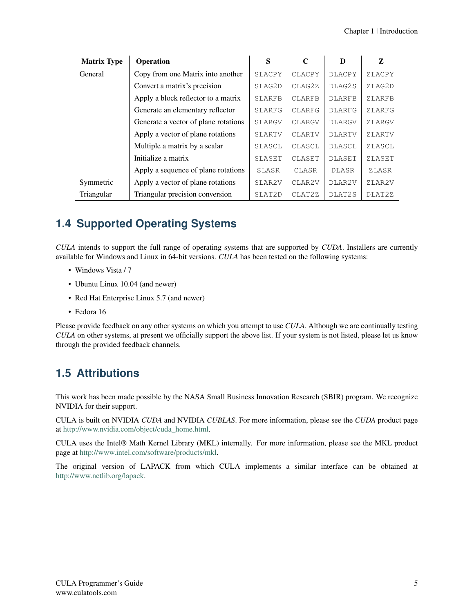| <b>Matrix Type</b> | Operation                            | S                   | $\mathbf C$         | D                   | Z                   |
|--------------------|--------------------------------------|---------------------|---------------------|---------------------|---------------------|
| General            | Copy from one Matrix into another    | SLACPY              | CLACPY              | <b>DLACPY</b>       | ZLACPY              |
|                    | Convert a matrix's precision         | SLAG2D              | CLAG2Z              | DLAG2S              | ZLAG2D              |
|                    | Apply a block reflector to a matrix  | <b>SLARFB</b>       | <b>CLARFB</b>       | <b>DLARFB</b>       | ZLARFB              |
|                    | Generate an elementary reflector     | SLARFG              | CLARFG              | <b>DLARFG</b>       | ZLARFG              |
|                    | Generate a vector of plane rotations | <b>SLARGV</b>       | CLARGV              | <b>DLARGV</b>       | ZLARGV              |
|                    | Apply a vector of plane rotations    | SLARTV              | <b>CLARTV</b>       | <b>DLARTV</b>       | ZLARTV              |
|                    | Multiple a matrix by a scalar        | SLASCL              | CLASCL              | DLASCL              | ZLASCL              |
|                    | Initialize a matrix                  | SLASET              | CLASET              | <b>DLASET</b>       | ZLASET              |
|                    | Apply a sequence of plane rotations  | SLASR               | CLASR               | DLASR               | ZLASR               |
| Symmetric          | Apply a vector of plane rotations    | SLAR <sub>2</sub> V | CLAR <sub>2</sub> V | DLAR <sub>2</sub> V | ZLAR <sub>2</sub> V |
| Triangular         | Triangular precision conversion      | SLAT2D              | CLAT2Z              | DLAT2S              | DLAT2Z              |

# <span id="page-7-0"></span>**1.4 Supported Operating Systems**

*CULA* intends to support the full range of operating systems that are supported by *CUDA*. Installers are currently available for Windows and Linux in 64-bit versions. *CULA* has been tested on the following systems:

- Windows Vista / 7
- Ubuntu Linux 10.04 (and newer)
- Red Hat Enterprise Linux 5.7 (and newer)
- Fedora 16

Please provide feedback on any other systems on which you attempt to use *CULA*. Although we are continually testing *CULA* on other systems, at present we officially support the above list. If your system is not listed, please let us know through the provided feedback channels.

# <span id="page-7-1"></span>**1.5 Attributions**

This work has been made possible by the NASA Small Business Innovation Research (SBIR) program. We recognize NVIDIA for their support.

CULA is built on NVIDIA *CUDA* and NVIDIA *CUBLAS*. For more information, please see the *CUDA* product page at [http://www.nvidia.com/object/cuda\\_home.html.](http://www.nvidia.com/object/cuda_home.html)

CULA uses the Intel® Math Kernel Library (MKL) internally. For more information, please see the MKL product page at [http://www.intel.com/software/products/mkl.](http://www.intel.com/software/products/mkl)

The original version of LAPACK from which CULA implements a similar interface can be obtained at [http://www.netlib.org/lapack.](http://www.netlib.org/lapack)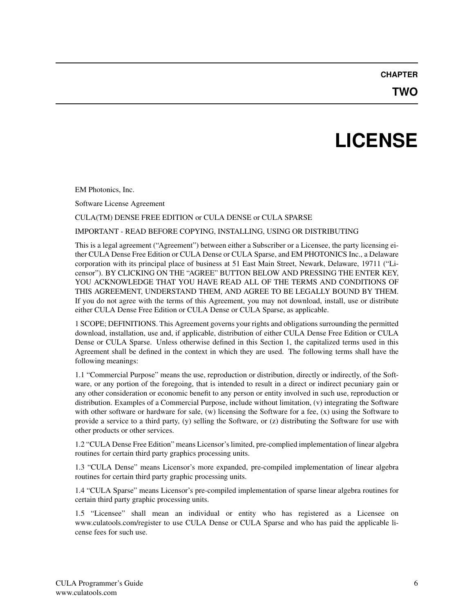### **CHAPTER**

**TWO**

# **LICENSE**

<span id="page-8-0"></span>EM Photonics, Inc.

Software License Agreement

CULA(TM) DENSE FREE EDITION or CULA DENSE or CULA SPARSE

IMPORTANT - READ BEFORE COPYING, INSTALLING, USING OR DISTRIBUTING

This is a legal agreement ("Agreement") between either a Subscriber or a Licensee, the party licensing either CULA Dense Free Edition or CULA Dense or CULA Sparse, and EM PHOTONICS Inc., a Delaware corporation with its principal place of business at 51 East Main Street, Newark, Delaware, 19711 ("Licensor"). BY CLICKING ON THE "AGREE" BUTTON BELOW AND PRESSING THE ENTER KEY, YOU ACKNOWLEDGE THAT YOU HAVE READ ALL OF THE TERMS AND CONDITIONS OF THIS AGREEMENT, UNDERSTAND THEM, AND AGREE TO BE LEGALLY BOUND BY THEM. If you do not agree with the terms of this Agreement, you may not download, install, use or distribute either CULA Dense Free Edition or CULA Dense or CULA Sparse, as applicable.

1 SCOPE; DEFINITIONS. This Agreement governs your rights and obligations surrounding the permitted download, installation, use and, if applicable, distribution of either CULA Dense Free Edition or CULA Dense or CULA Sparse. Unless otherwise defined in this Section 1, the capitalized terms used in this Agreement shall be defined in the context in which they are used. The following terms shall have the following meanings:

1.1 "Commercial Purpose" means the use, reproduction or distribution, directly or indirectly, of the Software, or any portion of the foregoing, that is intended to result in a direct or indirect pecuniary gain or any other consideration or economic benefit to any person or entity involved in such use, reproduction or distribution. Examples of a Commercial Purpose, include without limitation, (v) integrating the Software with other software or hardware for sale, (w) licensing the Software for a fee, (x) using the Software to provide a service to a third party, (y) selling the Software, or (z) distributing the Software for use with other products or other services.

1.2 "CULA Dense Free Edition" means Licensor's limited, pre-complied implementation of linear algebra routines for certain third party graphics processing units.

1.3 "CULA Dense" means Licensor's more expanded, pre-compiled implementation of linear algebra routines for certain third party graphic processing units.

1.4 "CULA Sparse" means Licensor's pre-compiled implementation of sparse linear algebra routines for certain third party graphic processing units.

1.5 "Licensee" shall mean an individual or entity who has registered as a Licensee on www.culatools.com/register to use CULA Dense or CULA Sparse and who has paid the applicable license fees for such use.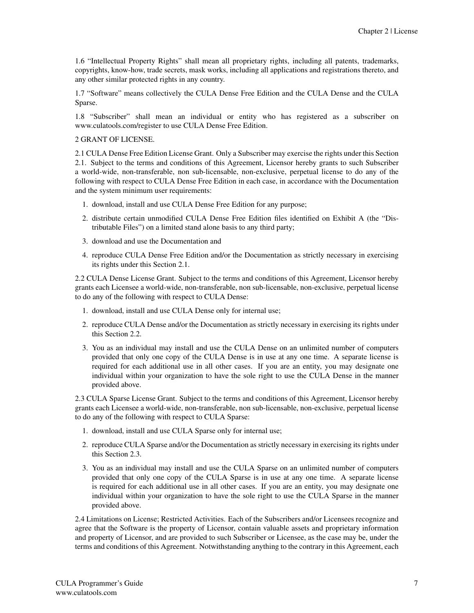1.6 "Intellectual Property Rights" shall mean all proprietary rights, including all patents, trademarks, copyrights, know-how, trade secrets, mask works, including all applications and registrations thereto, and any other similar protected rights in any country.

1.7 "Software" means collectively the CULA Dense Free Edition and the CULA Dense and the CULA Sparse.

1.8 "Subscriber" shall mean an individual or entity who has registered as a subscriber on www.culatools.com/register to use CULA Dense Free Edition.

2 GRANT OF LICENSE.

2.1 CULA Dense Free Edition License Grant. Only a Subscriber may exercise the rights under this Section 2.1. Subject to the terms and conditions of this Agreement, Licensor hereby grants to such Subscriber a world-wide, non-transferable, non sub-licensable, non-exclusive, perpetual license to do any of the following with respect to CULA Dense Free Edition in each case, in accordance with the Documentation and the system minimum user requirements:

- 1. download, install and use CULA Dense Free Edition for any purpose;
- 2. distribute certain unmodified CULA Dense Free Edition files identified on Exhibit A (the "Distributable Files") on a limited stand alone basis to any third party;
- 3. download and use the Documentation and
- 4. reproduce CULA Dense Free Edition and/or the Documentation as strictly necessary in exercising its rights under this Section 2.1.

2.2 CULA Dense License Grant. Subject to the terms and conditions of this Agreement, Licensor hereby grants each Licensee a world-wide, non-transferable, non sub-licensable, non-exclusive, perpetual license to do any of the following with respect to CULA Dense:

- 1. download, install and use CULA Dense only for internal use;
- 2. reproduce CULA Dense and/or the Documentation as strictly necessary in exercising its rights under this Section 2.2.
- 3. You as an individual may install and use the CULA Dense on an unlimited number of computers provided that only one copy of the CULA Dense is in use at any one time. A separate license is required for each additional use in all other cases. If you are an entity, you may designate one individual within your organization to have the sole right to use the CULA Dense in the manner provided above.

2.3 CULA Sparse License Grant. Subject to the terms and conditions of this Agreement, Licensor hereby grants each Licensee a world-wide, non-transferable, non sub-licensable, non-exclusive, perpetual license to do any of the following with respect to CULA Sparse:

- 1. download, install and use CULA Sparse only for internal use;
- 2. reproduce CULA Sparse and/or the Documentation as strictly necessary in exercising its rights under this Section 2.3.
- 3. You as an individual may install and use the CULA Sparse on an unlimited number of computers provided that only one copy of the CULA Sparse is in use at any one time. A separate license is required for each additional use in all other cases. If you are an entity, you may designate one individual within your organization to have the sole right to use the CULA Sparse in the manner provided above.

2.4 Limitations on License; Restricted Activities. Each of the Subscribers and/or Licensees recognize and agree that the Software is the property of Licensor, contain valuable assets and proprietary information and property of Licensor, and are provided to such Subscriber or Licensee, as the case may be, under the terms and conditions of this Agreement. Notwithstanding anything to the contrary in this Agreement, each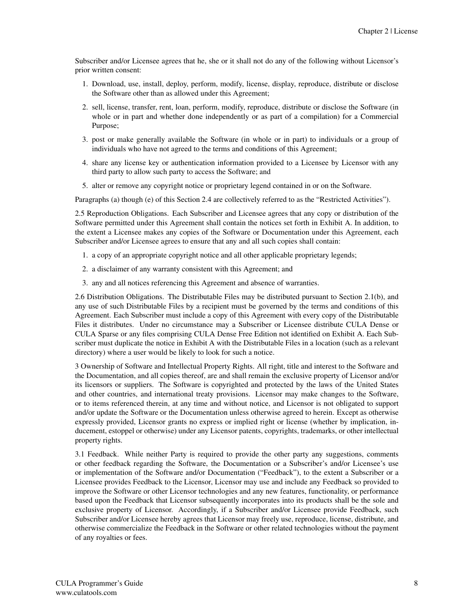Subscriber and/or Licensee agrees that he, she or it shall not do any of the following without Licensor's prior written consent:

- 1. Download, use, install, deploy, perform, modify, license, display, reproduce, distribute or disclose the Software other than as allowed under this Agreement;
- 2. sell, license, transfer, rent, loan, perform, modify, reproduce, distribute or disclose the Software (in whole or in part and whether done independently or as part of a compilation) for a Commercial Purpose;
- 3. post or make generally available the Software (in whole or in part) to individuals or a group of individuals who have not agreed to the terms and conditions of this Agreement;
- 4. share any license key or authentication information provided to a Licensee by Licensor with any third party to allow such party to access the Software; and
- 5. alter or remove any copyright notice or proprietary legend contained in or on the Software.

Paragraphs (a) though (e) of this Section 2.4 are collectively referred to as the "Restricted Activities").

2.5 Reproduction Obligations. Each Subscriber and Licensee agrees that any copy or distribution of the Software permitted under this Agreement shall contain the notices set forth in Exhibit A. In addition, to the extent a Licensee makes any copies of the Software or Documentation under this Agreement, each Subscriber and/or Licensee agrees to ensure that any and all such copies shall contain:

- 1. a copy of an appropriate copyright notice and all other applicable proprietary legends;
- 2. a disclaimer of any warranty consistent with this Agreement; and
- 3. any and all notices referencing this Agreement and absence of warranties.

2.6 Distribution Obligations. The Distributable Files may be distributed pursuant to Section 2.1(b), and any use of such Distributable Files by a recipient must be governed by the terms and conditions of this Agreement. Each Subscriber must include a copy of this Agreement with every copy of the Distributable Files it distributes. Under no circumstance may a Subscriber or Licensee distribute CULA Dense or CULA Sparse or any files comprising CULA Dense Free Edition not identified on Exhibit A. Each Subscriber must duplicate the notice in Exhibit A with the Distributable Files in a location (such as a relevant directory) where a user would be likely to look for such a notice.

3 Ownership of Software and Intellectual Property Rights. All right, title and interest to the Software and the Documentation, and all copies thereof, are and shall remain the exclusive property of Licensor and/or its licensors or suppliers. The Software is copyrighted and protected by the laws of the United States and other countries, and international treaty provisions. Licensor may make changes to the Software, or to items referenced therein, at any time and without notice, and Licensor is not obligated to support and/or update the Software or the Documentation unless otherwise agreed to herein. Except as otherwise expressly provided, Licensor grants no express or implied right or license (whether by implication, inducement, estoppel or otherwise) under any Licensor patents, copyrights, trademarks, or other intellectual property rights.

3.1 Feedback. While neither Party is required to provide the other party any suggestions, comments or other feedback regarding the Software, the Documentation or a Subscriber's and/or Licensee's use or implementation of the Software and/or Documentation ("Feedback"), to the extent a Subscriber or a Licensee provides Feedback to the Licensor, Licensor may use and include any Feedback so provided to improve the Software or other Licensor technologies and any new features, functionality, or performance based upon the Feedback that Licensor subsequently incorporates into its products shall be the sole and exclusive property of Licensor. Accordingly, if a Subscriber and/or Licensee provide Feedback, such Subscriber and/or Licensee hereby agrees that Licensor may freely use, reproduce, license, distribute, and otherwise commercialize the Feedback in the Software or other related technologies without the payment of any royalties or fees.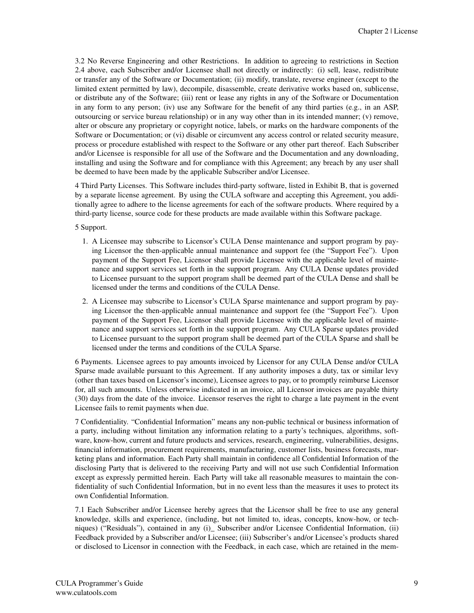3.2 No Reverse Engineering and other Restrictions. In addition to agreeing to restrictions in Section 2.4 above, each Subscriber and/or Licensee shall not directly or indirectly: (i) sell, lease, redistribute or transfer any of the Software or Documentation; (ii) modify, translate, reverse engineer (except to the limited extent permitted by law), decompile, disassemble, create derivative works based on, sublicense, or distribute any of the Software; (iii) rent or lease any rights in any of the Software or Documentation in any form to any person; (iv) use any Software for the benefit of any third parties (e.g., in an ASP, outsourcing or service bureau relationship) or in any way other than in its intended manner; (v) remove, alter or obscure any proprietary or copyright notice, labels, or marks on the hardware components of the Software or Documentation; or (vi) disable or circumvent any access control or related security measure, process or procedure established with respect to the Software or any other part thereof. Each Subscriber and/or Licensee is responsible for all use of the Software and the Documentation and any downloading, installing and using the Software and for compliance with this Agreement; any breach by any user shall be deemed to have been made by the applicable Subscriber and/or Licensee.

4 Third Party Licenses. This Software includes third-party software, listed in Exhibit B, that is governed by a separate license agreement. By using the CULA software and accepting this Agreement, you additionally agree to adhere to the license agreements for each of the software products. Where required by a third-party license, source code for these products are made available within this Software package.

5 Support.

- 1. A Licensee may subscribe to Licensor's CULA Dense maintenance and support program by paying Licensor the then-applicable annual maintenance and support fee (the "Support Fee"). Upon payment of the Support Fee, Licensor shall provide Licensee with the applicable level of maintenance and support services set forth in the support program. Any CULA Dense updates provided to Licensee pursuant to the support program shall be deemed part of the CULA Dense and shall be licensed under the terms and conditions of the CULA Dense.
- 2. A Licensee may subscribe to Licensor's CULA Sparse maintenance and support program by paying Licensor the then-applicable annual maintenance and support fee (the "Support Fee"). Upon payment of the Support Fee, Licensor shall provide Licensee with the applicable level of maintenance and support services set forth in the support program. Any CULA Sparse updates provided to Licensee pursuant to the support program shall be deemed part of the CULA Sparse and shall be licensed under the terms and conditions of the CULA Sparse.

6 Payments. Licensee agrees to pay amounts invoiced by Licensor for any CULA Dense and/or CULA Sparse made available pursuant to this Agreement. If any authority imposes a duty, tax or similar levy (other than taxes based on Licensor's income), Licensee agrees to pay, or to promptly reimburse Licensor for, all such amounts. Unless otherwise indicated in an invoice, all Licensor invoices are payable thirty (30) days from the date of the invoice. Licensor reserves the right to charge a late payment in the event Licensee fails to remit payments when due.

7 Confidentiality. "Confidential Information" means any non-public technical or business information of a party, including without limitation any information relating to a party's techniques, algorithms, software, know-how, current and future products and services, research, engineering, vulnerabilities, designs, financial information, procurement requirements, manufacturing, customer lists, business forecasts, marketing plans and information. Each Party shall maintain in confidence all Confidential Information of the disclosing Party that is delivered to the receiving Party and will not use such Confidential Information except as expressly permitted herein. Each Party will take all reasonable measures to maintain the confidentiality of such Confidential Information, but in no event less than the measures it uses to protect its own Confidential Information.

7.1 Each Subscriber and/or Licensee hereby agrees that the Licensor shall be free to use any general knowledge, skills and experience, (including, but not limited to, ideas, concepts, know-how, or techniques) ("Residuals"), contained in any (i)\_ Subscriber and/or Licensee Confidential Information, (ii) Feedback provided by a Subscriber and/or Licensee; (iii) Subscriber's and/or Licensee's products shared or disclosed to Licensor in connection with the Feedback, in each case, which are retained in the mem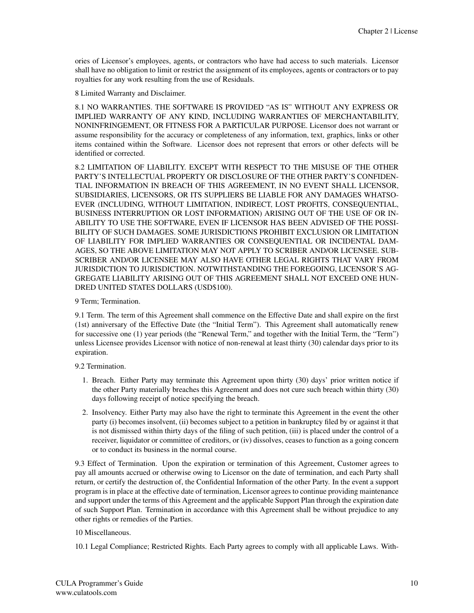ories of Licensor's employees, agents, or contractors who have had access to such materials. Licensor shall have no obligation to limit or restrict the assignment of its employees, agents or contractors or to pay royalties for any work resulting from the use of Residuals.

8 Limited Warranty and Disclaimer.

8.1 NO WARRANTIES. THE SOFTWARE IS PROVIDED "AS IS" WITHOUT ANY EXPRESS OR IMPLIED WARRANTY OF ANY KIND, INCLUDING WARRANTIES OF MERCHANTABILITY, NONINFRINGEMENT, OR FITNESS FOR A PARTICULAR PURPOSE. Licensor does not warrant or assume responsibility for the accuracy or completeness of any information, text, graphics, links or other items contained within the Software. Licensor does not represent that errors or other defects will be identified or corrected.

8.2 LIMITATION OF LIABILITY. EXCEPT WITH RESPECT TO THE MISUSE OF THE OTHER PARTY'S INTELLECTUAL PROPERTY OR DISCLOSURE OF THE OTHER PARTY'S CONFIDEN-TIAL INFORMATION IN BREACH OF THIS AGREEMENT, IN NO EVENT SHALL LICENSOR, SUBSIDIARIES, LICENSORS, OR ITS SUPPLIERS BE LIABLE FOR ANY DAMAGES WHATSO-EVER (INCLUDING, WITHOUT LIMITATION, INDIRECT, LOST PROFITS, CONSEQUENTIAL, BUSINESS INTERRUPTION OR LOST INFORMATION) ARISING OUT OF THE USE OF OR IN-ABILITY TO USE THE SOFTWARE, EVEN IF LICENSOR HAS BEEN ADVISED OF THE POSSI-BILITY OF SUCH DAMAGES. SOME JURISDICTIONS PROHIBIT EXCLUSION OR LIMITATION OF LIABILITY FOR IMPLIED WARRANTIES OR CONSEQUENTIAL OR INCIDENTAL DAM-AGES, SO THE ABOVE LIMITATION MAY NOT APPLY TO SCRIBER AND/OR LICENSEE. SUB-SCRIBER AND/OR LICENSEE MAY ALSO HAVE OTHER LEGAL RIGHTS THAT VARY FROM JURISDICTION TO JURISDICTION. NOTWITHSTANDING THE FOREGOING, LICENSOR'S AG-GREGATE LIABILITY ARISING OUT OF THIS AGREEMENT SHALL NOT EXCEED ONE HUN-DRED UNITED STATES DOLLARS (USD\$100).

#### 9 Term; Termination.

9.1 Term. The term of this Agreement shall commence on the Effective Date and shall expire on the first (1st) anniversary of the Effective Date (the "Initial Term"). This Agreement shall automatically renew for successive one (1) year periods (the "Renewal Term," and together with the Initial Term, the "Term") unless Licensee provides Licensor with notice of non-renewal at least thirty (30) calendar days prior to its expiration.

9.2 Termination.

- 1. Breach. Either Party may terminate this Agreement upon thirty (30) days' prior written notice if the other Party materially breaches this Agreement and does not cure such breach within thirty (30) days following receipt of notice specifying the breach.
- 2. Insolvency. Either Party may also have the right to terminate this Agreement in the event the other party (i) becomes insolvent, (ii) becomes subject to a petition in bankruptcy filed by or against it that is not dismissed within thirty days of the filing of such petition, (iii) is placed under the control of a receiver, liquidator or committee of creditors, or (iv) dissolves, ceases to function as a going concern or to conduct its business in the normal course.

9.3 Effect of Termination. Upon the expiration or termination of this Agreement, Customer agrees to pay all amounts accrued or otherwise owing to Licensor on the date of termination, and each Party shall return, or certify the destruction of, the Confidential Information of the other Party. In the event a support program is in place at the effective date of termination, Licensor agrees to continue providing maintenance and support under the terms of this Agreement and the applicable Support Plan through the expiration date of such Support Plan. Termination in accordance with this Agreement shall be without prejudice to any other rights or remedies of the Parties.

### 10 Miscellaneous.

10.1 Legal Compliance; Restricted Rights. Each Party agrees to comply with all applicable Laws. With-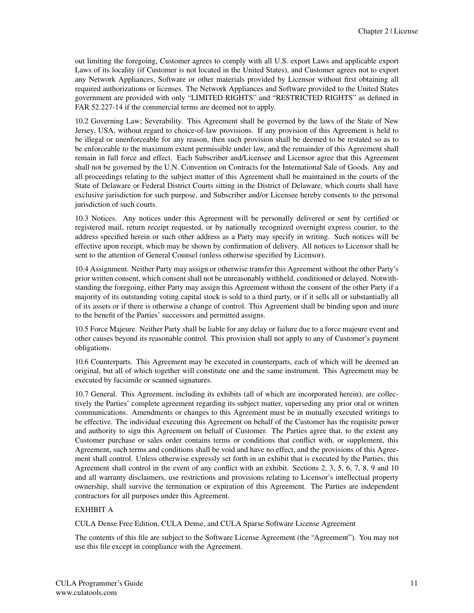out limiting the foregoing, Customer agrees to comply with all U.S. export Laws and applicable export Laws of its locality (if Customer is not located in the United States), and Customer agrees not to export any Network Appliances, Software or other materials provided by Licensor without first obtaining all required authorizations or licenses. The Network Appliances and Software provided to the United States government are provided with only "LIMITED RIGHTS" and "RESTRICTED RIGHTS" as defined in FAR 52.227-14 if the commercial terms are deemed not to apply.

10.2 Governing Law; Severability. This Agreement shall be governed by the laws of the State of New Jersey, USA, without regard to choice-of-law provisions. If any provision of this Agreement is held to be illegal or unenforceable for any reason, then such provision shall be deemed to be restated so as to be enforceable to the maximum extent permissible under law, and the remainder of this Agreement shall remain in full force and effect. Each Subscriber and/Licensee and Licensor agree that this Agreement shall not be governed by the U.N. Convention on Contracts for the International Sale of Goods. Any and all proceedings relating to the subject matter of this Agreement shall be maintained in the courts of the State of Delaware or Federal District Courts sitting in the District of Delaware, which courts shall have exclusive jurisdiction for such purpose, and Subscriber and/or Licensee hereby consents to the personal jurisdiction of such courts.

10.3 Notices. Any notices under this Agreement will be personally delivered or sent by certified or registered mail, return receipt requested, or by nationally recognized overnight express courier, to the address specified herein or such other address as a Party may specify in writing. Such notices will be effective upon receipt, which may be shown by confirmation of delivery. All notices to Licensor shall be sent to the attention of General Counsel (unless otherwise specified by Licensor).

10.4 Assignment. Neither Party may assign or otherwise transfer this Agreement without the other Party's prior written consent, which consent shall not be unreasonably withheld, conditioned or delayed. Notwithstanding the foregoing, either Party may assign this Agreement without the consent of the other Party if a majority of its outstanding voting capital stock is sold to a third party, or if it sells all or substantially all of its assets or if there is otherwise a change of control. This Agreement shall be binding upon and inure to the benefit of the Parties' successors and permitted assigns.

10.5 Force Majeure. Neither Party shall be liable for any delay or failure due to a force majeure event and other causes beyond its reasonable control. This provision shall not apply to any of Customer's payment obligations.

10.6 Counterparts. This Agreement may be executed in counterparts, each of which will be deemed an original, but all of which together will constitute one and the same instrument. This Agreement may be executed by facsimile or scanned signatures.

10.7 General. This Agreement, including its exhibits (all of which are incorporated herein), are collectively the Parties' complete agreement regarding its subject matter, superseding any prior oral or written communications. Amendments or changes to this Agreement must be in mutually executed writings to be effective. The individual executing this Agreement on behalf of the Customer has the requisite power and authority to sign this Agreement on behalf of Customer. The Parties agree that, to the extent any Customer purchase or sales order contains terms or conditions that conflict with, or supplement, this Agreement, such terms and conditions shall be void and have no effect, and the provisions of this Agreement shall control. Unless otherwise expressly set forth in an exhibit that is executed by the Parties, this Agreement shall control in the event of any conflict with an exhibit. Sections 2, 3, 5, 6, 7, 8, 9 and 10 and all warranty disclaimers, use restrictions and provisions relating to Licensor's intellectual property ownership, shall survive the termination or expiration of this Agreement. The Parties are independent contractors for all purposes under this Agreement.

### EXHIBIT A

CULA Dense Free Edition, CULA Dense, and CULA Sparse Software License Agreement

The contents of this file are subject to the Software License Agreement (the "Agreement"). You may not use this file except in compliance with the Agreement.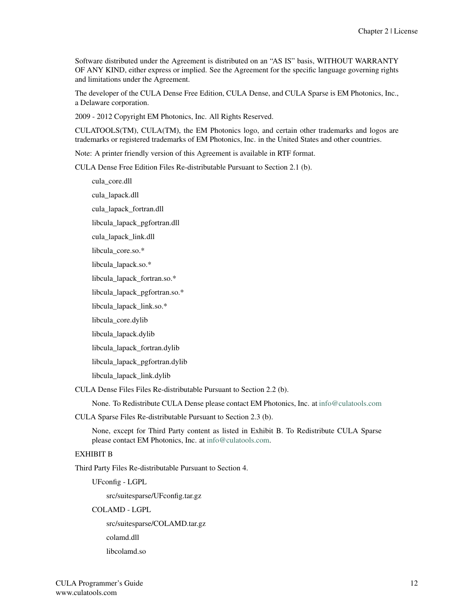Software distributed under the Agreement is distributed on an "AS IS" basis, WITHOUT WARRANTY OF ANY KIND, either express or implied. See the Agreement for the specific language governing rights and limitations under the Agreement.

The developer of the CULA Dense Free Edition, CULA Dense, and CULA Sparse is EM Photonics, Inc., a Delaware corporation.

2009 - 2012 Copyright EM Photonics, Inc. All Rights Reserved.

CULATOOLS(TM), CULA(TM), the EM Photonics logo, and certain other trademarks and logos are trademarks or registered trademarks of EM Photonics, Inc. in the United States and other countries.

Note: A printer friendly version of this Agreement is available in RTF format.

CULA Dense Free Edition Files Re-distributable Pursuant to Section 2.1 (b).

cula\_core.dll cula\_lapack.dll cula\_lapack\_fortran.dll libcula\_lapack\_pgfortran.dll cula\_lapack\_link.dll libcula\_core.so.\* libcula\_lapack.so.\* libcula\_lapack\_fortran.so.\* libcula\_lapack\_pgfortran.so.\* libcula\_lapack\_link.so.\* libcula\_core.dylib libcula\_lapack.dylib libcula\_lapack\_fortran.dylib libcula\_lapack\_pgfortran.dylib libcula\_lapack\_link.dylib

CULA Dense Files Files Re-distributable Pursuant to Section 2.2 (b).

None. To Redistribute CULA Dense please contact EM Photonics, Inc. at [info@culatools.com](mailto:info@culatools.com)

CULA Sparse Files Re-distributable Pursuant to Section 2.3 (b).

None, except for Third Party content as listed in Exhibit B. To Redistribute CULA Sparse please contact EM Photonics, Inc. at [info@culatools.com.](mailto:info@culatools.com)

#### EXHIBIT B

Third Party Files Re-distributable Pursuant to Section 4.

UFconfig - LGPL

src/suitesparse/UFconfig.tar.gz

COLAMD - LGPL

src/suitesparse/COLAMD.tar.gz

colamd.dll

libcolamd.so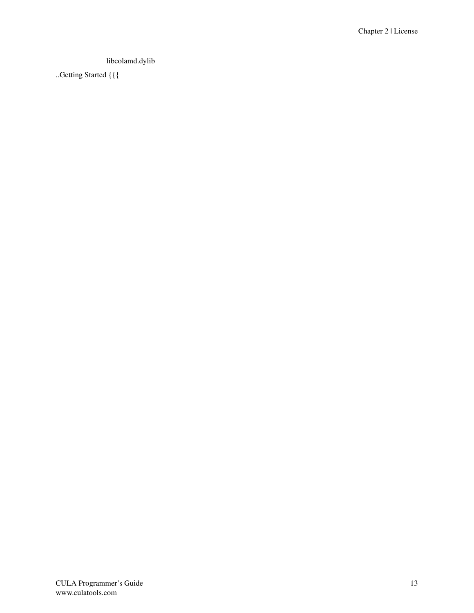libcolamd.dylib

..Getting Started {{{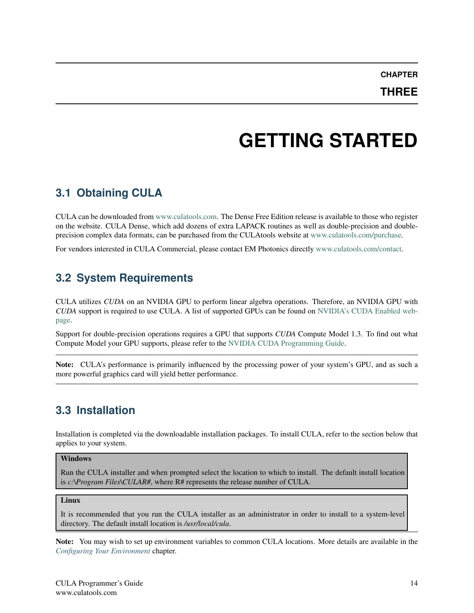# **GETTING STARTED**

# <span id="page-16-1"></span><span id="page-16-0"></span>**3.1 Obtaining CULA**

CULA can be downloaded from [www.culatools.com.](http://www.culatools.com) The Dense Free Edition release is available to those who register on the website. CULA Dense, which add dozens of extra LAPACK routines as well as double-precision and doubleprecision complex data formats, can be purchased from the CULAtools website at [www.culatools.com/purchase.](http://www.culatools.com/purchase)

For vendors interested in CULA Commercial, please contact EM Photonics directly [www.culatools.com/contact.](http://www.culatools.com/contact)

# <span id="page-16-2"></span>**3.2 System Requirements**

CULA utilizes *CUDA* on an NVIDIA GPU to perform linear algebra operations. Therefore, an NVIDIA GPU with *CUDA* support is required to use CULA. A list of supported GPUs can be found on [NVIDIA's CUDA Enabled web](http://www.nvidia.com/object/cuda_learn_products.html)[page.](http://www.nvidia.com/object/cuda_learn_products.html)

Support for double-precision operations requires a GPU that supports *CUDA* Compute Model 1.3. To find out what Compute Model your GPU supports, please refer to the [NVIDIA CUDA Programming Guide.](http://developer.download.nvidia.com/compute/cuda/2_21/toolkit/docs/NVIDIA_CUDA_Programming_Guide_2.2.1.pdf)

Note: CULA's performance is primarily influenced by the processing power of your system's GPU, and as such a more powerful graphics card will yield better performance.

# <span id="page-16-3"></span>**3.3 Installation**

Installation is completed via the downloadable installation packages. To install CULA, refer to the section below that applies to your system.

### **Windows**

Run the CULA installer and when prompted select the location to which to install. The default install location is *c:\Program Files\CULAR#*, where R# represents the release number of CULA.

### Linux

It is recommended that you run the CULA installer as an administrator in order to install to a system-level directory. The default install location is */usr/local/cula*.

Note: You may wish to set up environment variables to common CULA locations. More details are available in the *[Configuring Your Environment](#page-33-0)* chapter.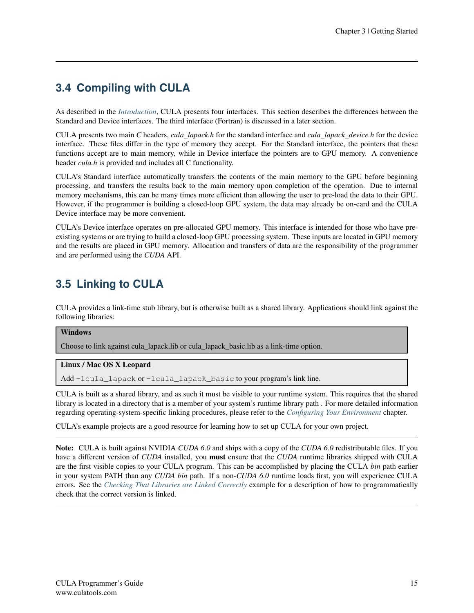# <span id="page-17-0"></span>**3.4 Compiling with CULA**

As described in the *[Introduction](#page-3-0)*, CULA presents four interfaces. This section describes the differences between the Standard and Device interfaces. The third interface (Fortran) is discussed in a later section.

CULA presents two main *C* headers, *cula\_lapack.h* for the standard interface and *cula\_lapack\_device.h* for the device interface. These files differ in the type of memory they accept. For the Standard interface, the pointers that these functions accept are to main memory, while in Device interface the pointers are to GPU memory. A convenience header *cula.h* is provided and includes all C functionality.

CULA's Standard interface automatically transfers the contents of the main memory to the GPU before beginning processing, and transfers the results back to the main memory upon completion of the operation. Due to internal memory mechanisms, this can be many times more efficient than allowing the user to pre-load the data to their GPU. However, if the programmer is building a closed-loop GPU system, the data may already be on-card and the CULA Device interface may be more convenient.

CULA's Device interface operates on pre-allocated GPU memory. This interface is intended for those who have preexisting systems or are trying to build a closed-loop GPU processing system. These inputs are located in GPU memory and the results are placed in GPU memory. Allocation and transfers of data are the responsibility of the programmer and are performed using the *CUDA* API.

# <span id="page-17-1"></span>**3.5 Linking to CULA**

CULA provides a link-time stub library, but is otherwise built as a shared library. Applications should link against the following libraries:

### Windows

Choose to link against cula\_lapack.lib or cula\_lapack\_basic.lib as a link-time option.

### Linux / Mac OS X Leopard

Add -lcula\_lapack or -lcula\_lapack\_basic to your program's link line.

CULA is built as a shared library, and as such it must be visible to your runtime system. This requires that the shared library is located in a directory that is a member of your system's runtime library path . For more detailed information regarding operating-system-specific linking procedures, please refer to the *[Configuring Your Environment](#page-33-0)* chapter.

CULA's example projects are a good resource for learning how to set up CULA for your own project.

Note: CULA is built against NVIDIA *CUDA 6.0* and ships with a copy of the *CUDA 6.0* redistributable files. If you have a different version of *CUDA* installed, you must ensure that the *CUDA* runtime libraries shipped with CULA are the first visible copies to your CULA program. This can be accomplished by placing the CULA *bin* path earlier in your system PATH than any *CUDA bin* path. If a non-*CUDA 6.0* runtime loads first, you will experience CULA errors. See the *[Checking That Libraries are Linked Correctly](#page-30-0)* example for a description of how to programmatically check that the correct version is linked.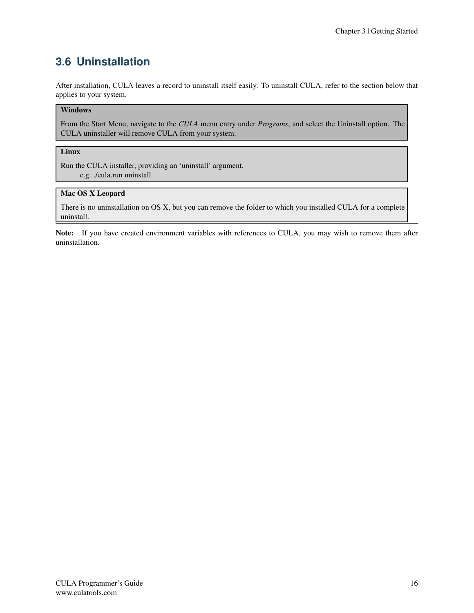# <span id="page-18-0"></span>**3.6 Uninstallation**

After installation, CULA leaves a record to uninstall itself easily. To uninstall CULA, refer to the section below that applies to your system.

### Windows

From the Start Menu, navigate to the *CULA* menu entry under *Programs*, and select the Uninstall option. The CULA uninstaller will remove CULA from your system.

### Linux

Run the CULA installer, providing an 'uninstall' argument. e.g. ./cula.run uninstall

### Mac OS X Leopard

There is no uninstallation on OS X, but you can remove the folder to which you installed CULA for a complete uninstall.

Note: If you have created environment variables with references to CULA, you may wish to remove them after uninstallation.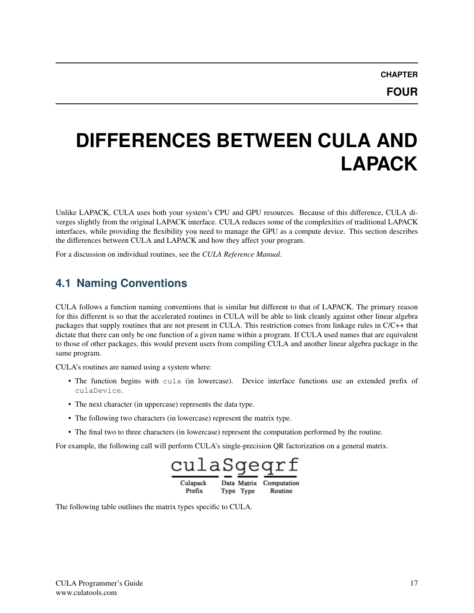# <span id="page-19-0"></span>**DIFFERENCES BETWEEN CULA AND LAPACK**

Unlike LAPACK, CULA uses both your system's CPU and GPU resources. Because of this difference, CULA diverges slightly from the original LAPACK interface. CULA reduces some of the complexities of traditional LAPACK interfaces, while providing the flexibility you need to manage the GPU as a compute device. This section describes the differences between CULA and LAPACK and how they affect your program.

For a discussion on individual routines, see the *CULA Reference Manual*.

# <span id="page-19-1"></span>**4.1 Naming Conventions**

CULA follows a function naming conventions that is similar but different to that of LAPACK. The primary reason for this different is so that the accelerated routines in CULA will be able to link cleanly against other linear algebra packages that supply routines that are not present in CULA. This restriction comes from linkage rules in C/C++ that dictate that there can only be one function of a given name within a program. If CULA used names that are equivalent to those of other packages, this would prevent users from compiling CULA and another linear algebra package in the same program.

CULA's routines are named using a system where:

- The function begins with cula (in lowercase). Device interface functions use an extended prefix of culaDevice.
- The next character (in uppercase) represents the data type.
- The following two characters (in lowercase) represent the matrix type.
- The final two to three characters (in lowercase) represent the computation performed by the routine.

For example, the following call will perform CULA's single-precision QR factorization on a general matrix.

|                    |      | .asgeg |                                    |
|--------------------|------|--------|------------------------------------|
| Culapack<br>Prefix | Type | Type   | Data Matrix Computation<br>Routine |

The following table outlines the matrix types specific to CULA.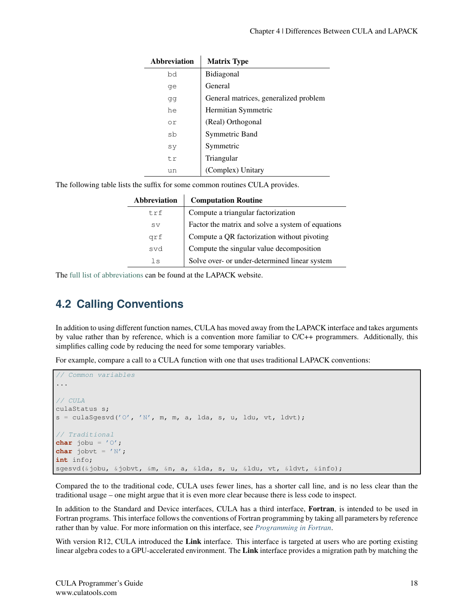| <b>Abbreviation</b> | <b>Matrix Type</b>                    |
|---------------------|---------------------------------------|
| bd                  | Bidiagonal                            |
| qe                  | General                               |
| qq                  | General matrices, generalized problem |
| he                  | Hermitian Symmetric                   |
| or                  | (Real) Orthogonal                     |
| sb                  | Symmetric Band                        |
| sy                  | Symmetric                             |
| t.r                 | Triangular                            |
| un                  | (Complex) Unitary                     |

The following table lists the suffix for some common routines CULA provides.

| <b>Abbreviation</b> | <b>Computation Routine</b>                        |
|---------------------|---------------------------------------------------|
| trf                 | Compute a triangular factorization                |
| <b>SV</b>           | Factor the matrix and solve a system of equations |
| grf                 | Compute a QR factorization without pivoting       |
| svd                 | Compute the singular value decomposition          |
| $\exists s$         | Solve over- or under-determined linear system     |

The [full list of abbreviations](http://www.netlib.org/lapack/lawn41/node111.html) can be found at the LAPACK website.

# <span id="page-20-0"></span>**4.2 Calling Conventions**

In addition to using different function names, CULA has moved away from the LAPACK interface and takes arguments by value rather than by reference, which is a convention more familiar to C/C++ programmers. Additionally, this simplifies calling code by reducing the need for some temporary variables.

For example, compare a call to a CULA function with one that uses traditional LAPACK conventions:

```
// Common variables
...
// CULA
culaStatus s;
s = \text{culasgesvd('O', 'N', m, m, a, lda, s, u, ldu, vt, ldvt)};// Traditional
char jobu = '0';
char jobvt = 'N';
int info;
sgesvd(&jobu, &jobvt, &m, &n, a, &lda, s, u, &ldu, vt, &ldvt, &info);
```
Compared the to the traditional code, CULA uses fewer lines, has a shorter call line, and is no less clear than the traditional usage – one might argue that it is even more clear because there is less code to inspect.

In addition to the Standard and Device interfaces, CULA has a third interface, Fortran, is intended to be used in Fortran programs. This interface follows the conventions of Fortran programming by taking all parameters by reference rather than by value. For more information on this interface, see *[Programming in Fortran](#page-31-0)*.

With version R12, CULA introduced the Link interface. This interface is targeted at users who are porting existing linear algebra codes to a GPU-accelerated environment. The Link interface provides a migration path by matching the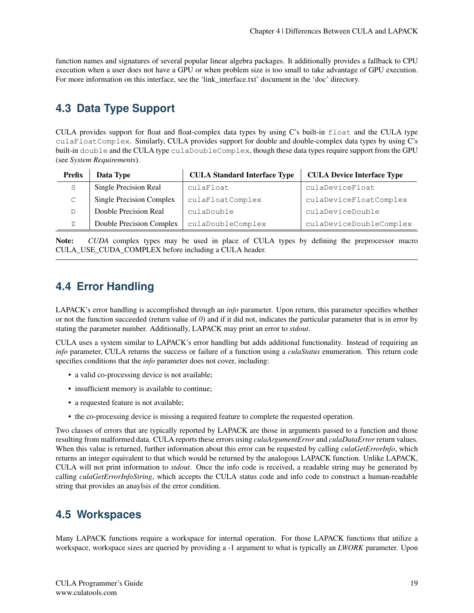function names and signatures of several popular linear algebra packages. It additionally provides a fallback to CPU execution when a user does not have a GPU or when problem size is too small to take advantage of GPU execution. For more information on this interface, see the 'link\_interface.txt' document in the 'doc' directory.

# <span id="page-21-0"></span>**4.3 Data Type Support**

CULA provides support for float and float-complex data types by using C's built-in float and the CULA type culaFloatComplex. Similarly, CULA provides support for double and double-complex data types by using C's built-in double and the CULA type culaDoubleComplex, though these data types require support from the GPU (see *System Requirements*).

| Prefix | Data Type                       | <b>CULA Standard Interface Type</b> | <b>CULA Device Interface Type</b> |
|--------|---------------------------------|-------------------------------------|-----------------------------------|
| S      | Single Precision Real           | culaFloat                           | culaDeviceFloat                   |
| C      | <b>Single Precision Complex</b> | culaFloatComplex                    | culaDeviceFloatComplex            |
| D      | Double Precision Real           | culaDouble                          | culaDeviceDouble                  |
| Ζ      | Double Precision Complex        | culaDoubleComplex                   | culaDeviceDoubleComplex           |

Note: *CUDA* complex types may be used in place of CULA types by defining the preprocessor macro CULA\_USE\_CUDA\_COMPLEX before including a CULA header.

# <span id="page-21-1"></span>**4.4 Error Handling**

LAPACK's error handling is accomplished through an *info* parameter. Upon return, this parameter specifies whether or not the function succeeded (return value of *0*) and if it did not, indicates the particular parameter that is in error by stating the parameter number. Additionally, LAPACK may print an error to *stdout*.

CULA uses a system similar to LAPACK's error handling but adds additional functionality. Instead of requiring an *info* parameter, CULA returns the success or failure of a function using a *culaStatus* enumeration. This return code specifies conditions that the *info* parameter does not cover, including:

- a valid co-processing device is not available;
- insufficient memory is available to continue;
- a requested feature is not available;
- the co-processing device is missing a required feature to complete the requested operation.

Two classes of errors that are typically reported by LAPACK are those in arguments passed to a function and those resulting from malformed data. CULA reports these errors using *culaArgumentError* and *culaDataError* return values. When this value is returned, further information about this error can be requested by calling *culaGetErrorInfo*, which returns an integer equivalent to that which would be returned by the analogous LAPACK function. Unlike LAPACK, CULA will not print information to *stdout*. Once the info code is received, a readable string may be generated by calling *culaGetErrorInfoString*, which accepts the CULA status code and info code to construct a human-readable string that provides an anaylsis of the error condition.

# <span id="page-21-2"></span>**4.5 Workspaces**

Many LAPACK functions require a workspace for internal operation. For those LAPACK functions that utilize a workspace, workspace sizes are queried by providing a -1 argument to what is typically an *LWORK* parameter. Upon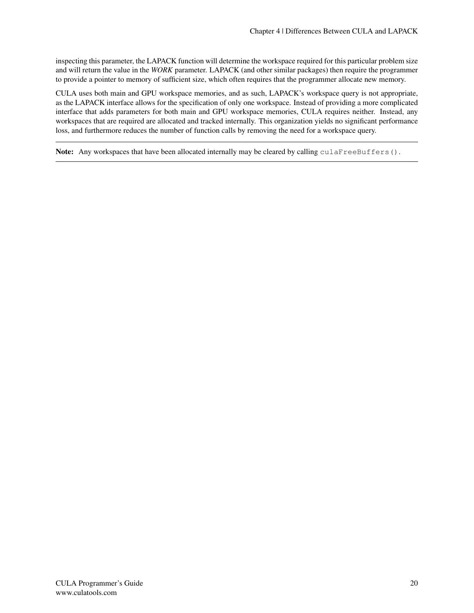inspecting this parameter, the LAPACK function will determine the workspace required for this particular problem size and will return the value in the *WORK* parameter. LAPACK (and other similar packages) then require the programmer to provide a pointer to memory of sufficient size, which often requires that the programmer allocate new memory.

CULA uses both main and GPU workspace memories, and as such, LAPACK's workspace query is not appropriate, as the LAPACK interface allows for the specification of only one workspace. Instead of providing a more complicated interface that adds parameters for both main and GPU workspace memories, CULA requires neither. Instead, any workspaces that are required are allocated and tracked internally. This organization yields no significant performance loss, and furthermore reduces the number of function calls by removing the need for a workspace query.

Note: Any workspaces that have been allocated internally may be cleared by calling culaFreeBuffers().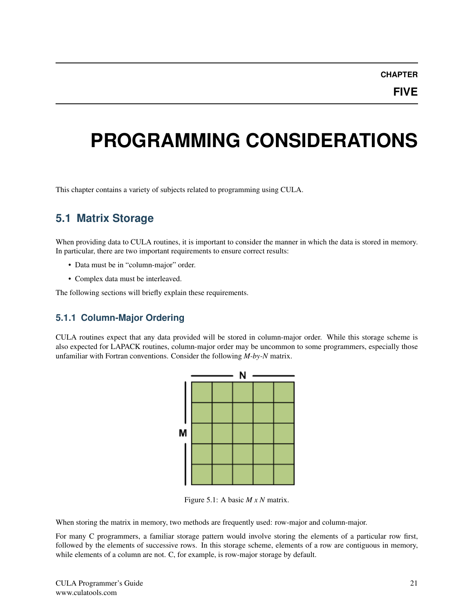**FIVE**

# <span id="page-23-0"></span>**PROGRAMMING CONSIDERATIONS**

This chapter contains a variety of subjects related to programming using CULA.

# <span id="page-23-1"></span>**5.1 Matrix Storage**

When providing data to CULA routines, it is important to consider the manner in which the data is stored in memory. In particular, there are two important requirements to ensure correct results:

- Data must be in "column-major" order.
- Complex data must be interleaved.

The following sections will briefly explain these requirements.

## **5.1.1 Column-Major Ordering**

CULA routines expect that any data provided will be stored in column-major order. While this storage scheme is also expected for LAPACK routines, column-major order may be uncommon to some programmers, especially those unfamiliar with Fortran conventions. Consider the following *M-by-N* matrix.



Figure 5.1: A basic *M x N* matrix.

When storing the matrix in memory, two methods are frequently used: row-major and column-major.

For many C programmers, a familiar storage pattern would involve storing the elements of a particular row first, followed by the elements of successive rows. In this storage scheme, elements of a row are contiguous in memory, while elements of a column are not. C, for example, is row-major storage by default.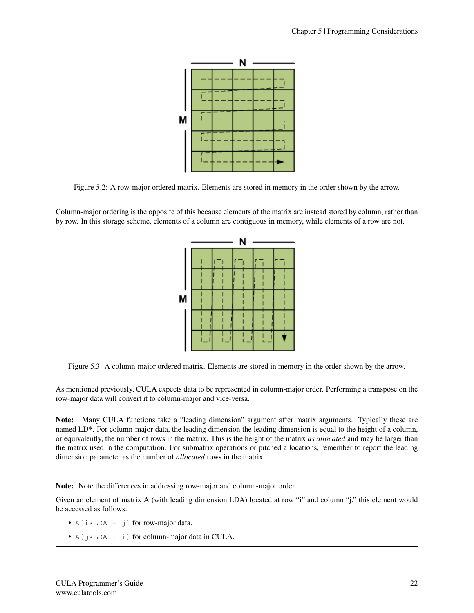

Figure 5.2: A row-major ordered matrix. Elements are stored in memory in the order shown by the arrow.

Column-major ordering is the opposite of this because elements of the matrix are instead stored by column, rather than by row. In this storage scheme, elements of a column are contiguous in memory, while elements of a row are not.



Figure 5.3: A column-major ordered matrix. Elements are stored in memory in the order shown by the arrow.

As mentioned previously, CULA expects data to be represented in column-major order. Performing a transpose on the row-major data will convert it to column-major and vice-versa.

Note: Many CULA functions take a "leading dimension" argument after matrix arguments. Typically these are named LD\*. For column-major data, the leading dimension the leading dimension is equal to the height of a column, or equivalently, the number of rows in the matrix. This is the height of the matrix *as allocated* and may be larger than the matrix used in the computation. For submatrix operations or pitched allocations, remember to report the leading dimension parameter as the number of *allocated* rows in the matrix.

Note: Note the differences in addressing row-major and column-major order.

Given an element of matrix A (with leading dimension LDA) located at row "i" and column "j," this element would be accessed as follows:

- $A[i \times LDA + j]$  for row-major data.
- $A[j\atop{+}LDA + i]$  for column-major data in CULA.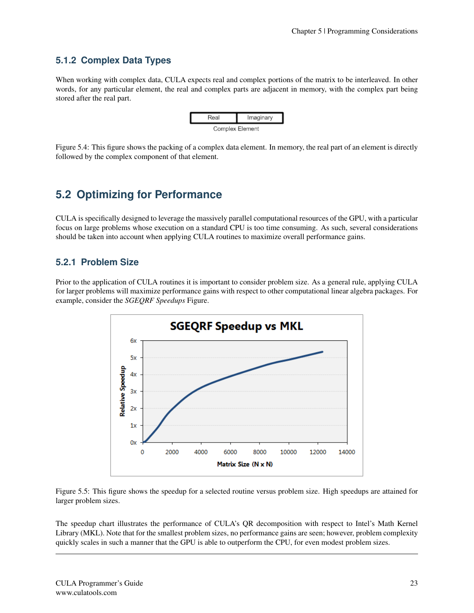# **5.1.2 Complex Data Types**

When working with complex data, CULA expects real and complex portions of the matrix to be interleaved. In other words, for any particular element, the real and complex parts are adjacent in memory, with the complex part being stored after the real part.



Figure 5.4: This figure shows the packing of a complex data element. In memory, the real part of an element is directly followed by the complex component of that element.

# <span id="page-25-0"></span>**5.2 Optimizing for Performance**

CULA is specifically designed to leverage the massively parallel computational resources of the GPU, with a particular focus on large problems whose execution on a standard CPU is too time consuming. As such, several considerations should be taken into account when applying CULA routines to maximize overall performance gains.

# **5.2.1 Problem Size**

Prior to the application of CULA routines it is important to consider problem size. As a general rule, applying CULA for larger problems will maximize performance gains with respect to other computational linear algebra packages. For example, consider the *SGEQRF Speedups* Figure.



Figure 5.5: This figure shows the speedup for a selected routine versus problem size. High speedups are attained for larger problem sizes.

The speedup chart illustrates the performance of CULA's QR decomposition with respect to Intel's Math Kernel Library (MKL). Note that for the smallest problem sizes, no performance gains are seen; however, problem complexity quickly scales in such a manner that the GPU is able to outperform the CPU, for even modest problem sizes.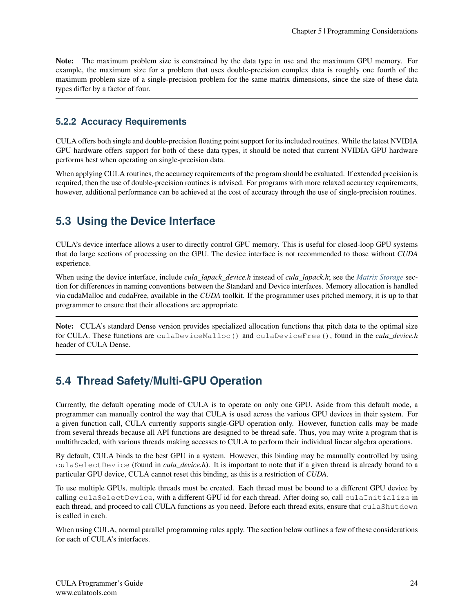Note: The maximum problem size is constrained by the data type in use and the maximum GPU memory. For example, the maximum size for a problem that uses double-precision complex data is roughly one fourth of the maximum problem size of a single-precision problem for the same matrix dimensions, since the size of these data types differ by a factor of four.

# **5.2.2 Accuracy Requirements**

CULA offers both single and double-precision floating point support for its included routines. While the latest NVIDIA GPU hardware offers support for both of these data types, it should be noted that current NVIDIA GPU hardware performs best when operating on single-precision data.

When applying CULA routines, the accuracy requirements of the program should be evaluated. If extended precision is required, then the use of double-precision routines is advised. For programs with more relaxed accuracy requirements, however, additional performance can be achieved at the cost of accuracy through the use of single-precision routines.

# <span id="page-26-0"></span>**5.3 Using the Device Interface**

CULA's device interface allows a user to directly control GPU memory. This is useful for closed-loop GPU systems that do large sections of processing on the GPU. The device interface is not recommended to those without *CUDA* experience.

When using the device interface, include *cula\_lapack\_device.h* instead of *cula\_lapack.h*; see the *[Matrix Storage](#page-23-1)* section for differences in naming conventions between the Standard and Device interfaces. Memory allocation is handled via cudaMalloc and cudaFree, available in the *CUDA* toolkit. If the programmer uses pitched memory, it is up to that programmer to ensure that their allocations are appropriate.

Note: CULA's standard Dense version provides specialized allocation functions that pitch data to the optimal size for CULA. These functions are culaDeviceMalloc() and culaDeviceFree(), found in the *cula\_device.h* header of CULA Dense.

# <span id="page-26-1"></span>**5.4 Thread Safety/Multi-GPU Operation**

Currently, the default operating mode of CULA is to operate on only one GPU. Aside from this default mode, a programmer can manually control the way that CULA is used across the various GPU devices in their system. For a given function call, CULA currently supports single-GPU operation only. However, function calls may be made from several threads because all API functions are designed to be thread safe. Thus, you may write a program that is multithreaded, with various threads making accesses to CULA to perform their individual linear algebra operations.

By default, CULA binds to the best GPU in a system. However, this binding may be manually controlled by using culaSelectDevice (found in *cula\_device.h*). It is important to note that if a given thread is already bound to a particular GPU device, CULA cannot reset this binding, as this is a restriction of *CUDA*.

To use multiple GPUs, multiple threads must be created. Each thread must be bound to a different GPU device by calling culaSelectDevice, with a different GPU id for each thread. After doing so, call culaInitialize in each thread, and proceed to call CULA functions as you need. Before each thread exits, ensure that culaShutdown is called in each.

When using CULA, normal parallel programming rules apply. The section below outlines a few of these considerations for each of CULA's interfaces.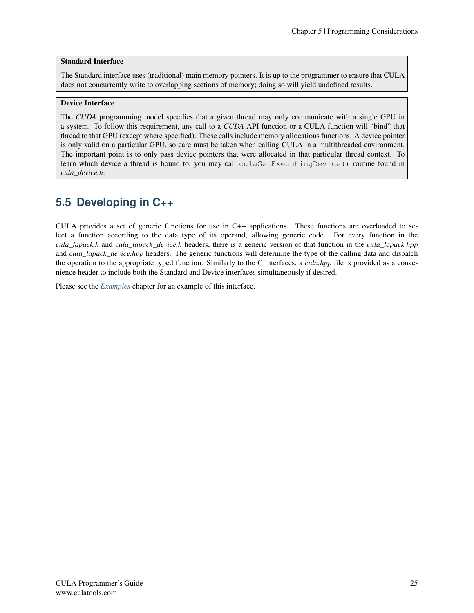### Standard Interface

The Standard interface uses (traditional) main memory pointers. It is up to the programmer to ensure that CULA does not concurrently write to overlapping sections of memory; doing so will yield undefined results.

#### Device Interface

The *CUDA* programming model specifies that a given thread may only communicate with a single GPU in a system. To follow this requirement, any call to a *CUDA* API function or a CULA function will "bind" that thread to that GPU (except where specified). These calls include memory allocations functions. A device pointer is only valid on a particular GPU, so care must be taken when calling CULA in a multithreaded environment. The important point is to only pass device pointers that were allocated in that particular thread context. To learn which device a thread is bound to, you may call culaGetExecutingDevice() routine found in *cula\_device.h*.

# <span id="page-27-0"></span>**5.5 Developing in C++**

CULA provides a set of generic functions for use in C++ applications. These functions are overloaded to select a function according to the data type of its operand, allowing generic code. For every function in the *cula\_lapack.h* and *cula\_lapack\_device.h* headers, there is a generic version of that function in the *cula\_lapack.hpp* and *cula\_lapack\_device.hpp* headers. The generic functions will determine the type of the calling data and dispatch the operation to the appropriate typed function. Similarly to the C interfaces, a *cula.hpp* file is provided as a convenience header to include both the Standard and Device interfaces simultaneously if desired.

Please see the *[Examples](#page-28-0)* chapter for an example of this interface.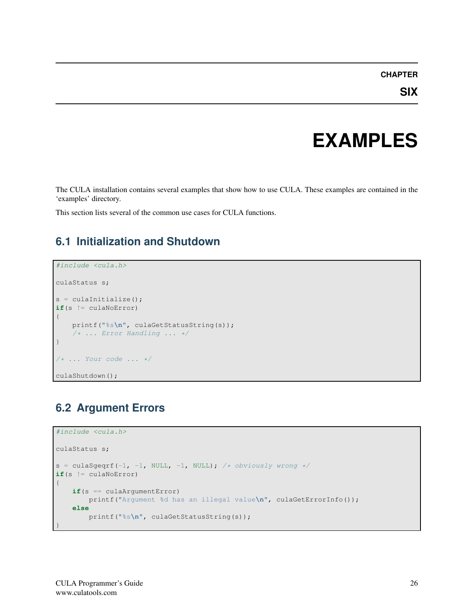### **CHAPTER**

# **EXAMPLES**

<span id="page-28-0"></span>The CULA installation contains several examples that show how to use CULA. These examples are contained in the 'examples' directory.

This section lists several of the common use cases for CULA functions.

# <span id="page-28-1"></span>**6.1 Initialization and Shutdown**

```
#include <cula.h>
culaStatus s;
s = \text{cular}if(s != culaNoError)
{
   printf("%s\n", culaGetStatusString(s));
    /* ... Error Handling ... */
}
/* ... Your code ... */
culaShutdown();
```
# <span id="page-28-2"></span>**6.2 Argument Errors**

```
#include <cula.h>
culaStatus s;
s = \text{culasgeqrt}(-1, -1, \text{NULL}, -1, \text{NULL}); /* obviously wrong */
if(s := \text{culaNoError}){
    if(s == culaArgumentError)
       printf("Argument %d has an illegal value\n", culaGetErrorInfo());
    else
        printf("%s\n", culaGetStatusString(s));
}
```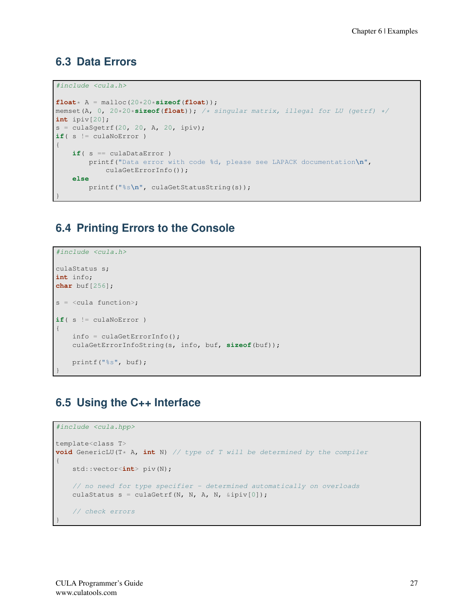# <span id="page-29-0"></span>**6.3 Data Errors**

```
#include <cula.h>
float* A = malloc(20*20*sizeof(float));memset(A, 0, 20*20*sizeof(float)); /* singular matrix, illegal for LU (getrf) */
int ipiv[20];
s = culaSgetrf(20, 20, A, 20, ipiv);
if( s := \text{culaNoError } ){
    if( s == culaDataError )
       printf("Data error with code %d, please see LAPACK documentation\n",
            culaGetErrorInfo());
    else
        printf("%s\n", culaGetStatusString(s));
}
```
# <span id="page-29-1"></span>**6.4 Printing Errors to the Console**

```
#include <cula.h>
culaStatus s;
int info;
char buf[256];
s = <cula function>;
if( s != culaNoError )
{
   info = culaGetErrorInfo();
   culaGetErrorInfoString(s, info, buf, sizeof(buf));
   printf("%s", buf);
}
```
# <span id="page-29-2"></span>**6.5 Using the C++ Interface**

```
#include <cula.hpp>
template<class T>
void GenericLU(T* A, int N) // type of T will be determined by the compiler
{
   std::vector<int> piv(N);
   // no need for type specifier - determined automatically on overloads
   culaStatus s = culaGetrf(N, N, A, N, &ipiv[0]);
   // check errors
}
```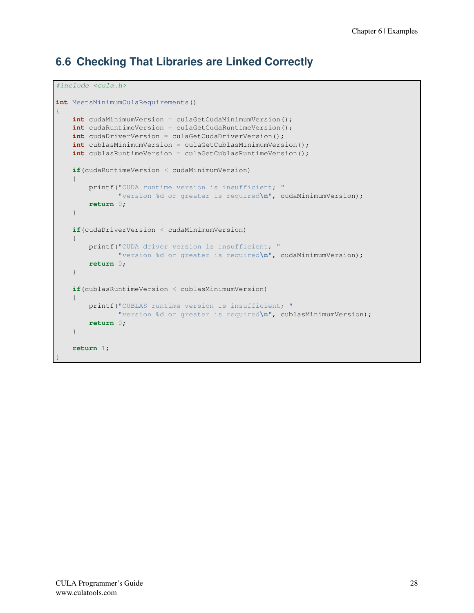# <span id="page-30-0"></span>**6.6 Checking That Libraries are Linked Correctly**

```
#include <cula.h>
int MeetsMinimumCulaRequirements()
{
   int cudaMinimumVersion = culaGetCudaMinimumVersion();
   int cudaRuntimeVersion = culaGetCudaRuntimeVersion();
   int cudaDriverVersion = culaGetCudaDriverVersion();
   int cublasMinimumVersion = culaGetCublasMinimumVersion();
   int cublasRuntimeVersion = culaGetCublasRuntimeVersion();
   if(cudaRuntimeVersion < cudaMinimumVersion)
    {
       printf("CUDA runtime version is insufficient; "
              "version %d or greater is required\n", cudaMinimumVersion);
       return 0;
    }
   if(cudaDriverVersion < cudaMinimumVersion)
    {
       printf("CUDA driver version is insufficient; "
              "version %d or greater is required\n", cudaMinimumVersion);
       return 0;
    }
   if(cublasRuntimeVersion < cublasMinimumVersion)
    {
       printf("CUBLAS runtime version is insufficient; "
               "version %d or greater is required\n", cublasMinimumVersion);
       return 0;
    }
   return 1;
}
```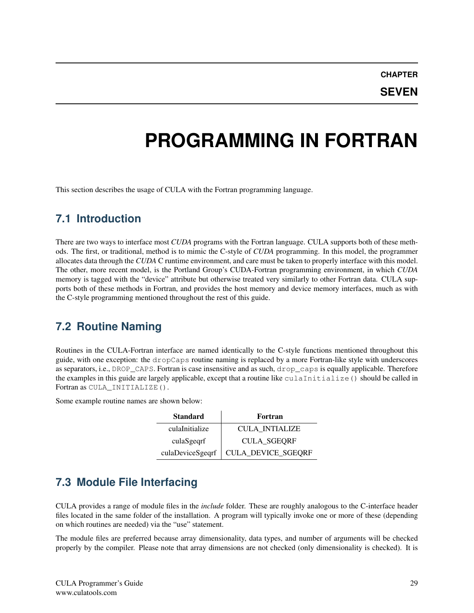**SEVEN**

# <span id="page-31-0"></span>**PROGRAMMING IN FORTRAN**

This section describes the usage of CULA with the Fortran programming language.

# <span id="page-31-1"></span>**7.1 Introduction**

There are two ways to interface most *CUDA* programs with the Fortran language. CULA supports both of these methods. The first, or traditional, method is to mimic the C-style of *CUDA* programming. In this model, the programmer allocates data through the *CUDA* C runtime environment, and care must be taken to properly interface with this model. The other, more recent model, is the Portland Group's CUDA-Fortran programming environment, in which *CUDA* memory is tagged with the "device" attribute but otherwise treated very similarly to other Fortran data. CULA supports both of these methods in Fortran, and provides the host memory and device memory interfaces, much as with the C-style programming mentioned throughout the rest of this guide.

# <span id="page-31-2"></span>**7.2 Routine Naming**

Routines in the CULA-Fortran interface are named identically to the C-style functions mentioned throughout this guide, with one exception: the dropCaps routine naming is replaced by a more Fortran-like style with underscores as separators, i.e., DROP\_CAPS. Fortran is case insensitive and as such, drop\_caps is equally applicable. Therefore the examples in this guide are largely applicable, except that a routine like culaInitialize() should be called in Fortran as CULA\_INITIALIZE().

Some example routine names are shown below:

| <b>Standard</b> | Fortran                               |
|-----------------|---------------------------------------|
| culaInitialize  | <b>CULA INTIALIZE</b>                 |
| culaSgeqrf      | <b>CULA_SGEORF</b>                    |
|                 | culaDeviceSgeqrf   CULA_DEVICE_SGEQRF |

# <span id="page-31-3"></span>**7.3 Module File Interfacing**

CULA provides a range of module files in the *include* folder. These are roughly analogous to the C-interface header files located in the same folder of the installation. A program will typically invoke one or more of these (depending on which routines are needed) via the "use" statement.

The module files are preferred because array dimensionality, data types, and number of arguments will be checked properly by the compiler. Please note that array dimensions are not checked (only dimensionality is checked). It is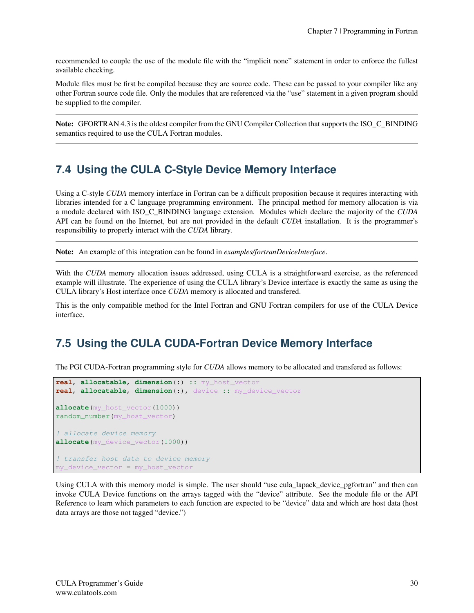recommended to couple the use of the module file with the "implicit none" statement in order to enforce the fullest available checking.

Module files must be first be compiled because they are source code. These can be passed to your compiler like any other Fortran source code file. Only the modules that are referenced via the "use" statement in a given program should be supplied to the compiler.

Note: GFORTRAN 4.3 is the oldest compiler from the GNU Compiler Collection that supports the ISO\_C\_BINDING semantics required to use the CULA Fortran modules.

# <span id="page-32-0"></span>**7.4 Using the CULA C-Style Device Memory Interface**

Using a C-style *CUDA* memory interface in Fortran can be a difficult proposition because it requires interacting with libraries intended for a C language programming environment. The principal method for memory allocation is via a module declared with ISO\_C\_BINDING language extension. Modules which declare the majority of the *CUDA* API can be found on the Internet, but are not provided in the default *CUDA* installation. It is the programmer's responsibility to properly interact with the *CUDA* library.

Note: An example of this integration can be found in *examples/fortranDeviceInterface*.

With the *CUDA* memory allocation issues addressed, using CULA is a straightforward exercise, as the referenced example will illustrate. The experience of using the CULA library's Device interface is exactly the same as using the CULA library's Host interface once *CUDA* memory is allocated and transfered.

This is the only compatible method for the Intel Fortran and GNU Fortran compilers for use of the CULA Device interface.

# <span id="page-32-1"></span>**7.5 Using the CULA CUDA-Fortran Device Memory Interface**

The PGI CUDA-Fortran programming style for *CUDA* allows memory to be allocated and transfered as follows:

```
real, allocatable, dimension(:) :: my_host_vector
real, allocatable, dimension(:), device :: my_device_vector
allocate(my_host_vector(1000))
random_number(my_host_vector)
! allocate device memory
allocate(my_device_vector(1000))
! transfer host data to device memory
my_device_vector = my_host_vector
```
Using CULA with this memory model is simple. The user should "use cula\_lapack\_device\_pgfortran" and then can invoke CULA Device functions on the arrays tagged with the "device" attribute. See the module file or the API Reference to learn which parameters to each function are expected to be "device" data and which are host data (host data arrays are those not tagged "device.")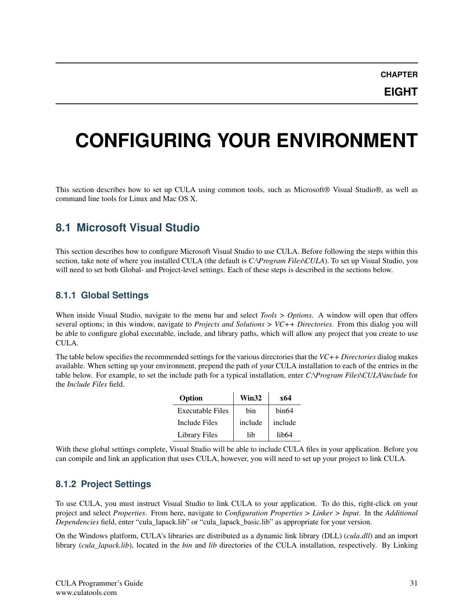# <span id="page-33-0"></span>**CONFIGURING YOUR ENVIRONMENT**

This section describes how to set up CULA using common tools, such as Microsoft® Visual Studio®, as well as command line tools for Linux and Mac OS X.

# <span id="page-33-1"></span>**8.1 Microsoft Visual Studio**

This section describes how to configure Microsoft Visual Studio to use CULA. Before following the steps within this section, take note of where you installed CULA (the default is *C:\Program Files\CULA*). To set up Visual Studio, you will need to set both Global- and Project-level settings. Each of these steps is described in the sections below.

# **8.1.1 Global Settings**

When inside Visual Studio, navigate to the menu bar and select *Tools > Options*. A window will open that offers several options; in this window, navigate to *Projects and Solutions > VC++ Directories*. From this dialog you will be able to configure global executable, include, and library paths, which will allow any project that you create to use CULA.

The table below specifies the recommended settings for the various directories that the *VC++ Directories* dialog makes available. When setting up your environment, prepend the path of your CULA installation to each of the entries in the table below. For example, to set the include path for a typical installation, enter *C:\Program Files\CULA\include* for the *Include Files* field.

| Option                  | Win32   | x64     |  |
|-------------------------|---------|---------|--|
| <b>Executable Files</b> | hin     | bin64   |  |
| Include Files           | include | include |  |
| <b>Library Files</b>    | lih     | lib64   |  |

With these global settings complete, Visual Studio will be able to include CULA files in your application. Before you can compile and link an application that uses CULA, however, you will need to set up your project to link CULA.

# **8.1.2 Project Settings**

To use CULA, you must instruct Visual Studio to link CULA to your application. To do this, right-click on your project and select *Properties*. From here, navigate to *Configuration Properties > Linker > Input*. In the *Additional Dependencies* field, enter "cula\_lapack.lib" or "cula\_lapack\_basic.lib" as appropriate for your version.

On the Windows platform, CULA's libraries are distributed as a dynamic link library (DLL) (*cula.dll*) and an import library (*cula\_lapack.lib*), located in the *bin* and *lib* directories of the CULA installation, respectively. By Linking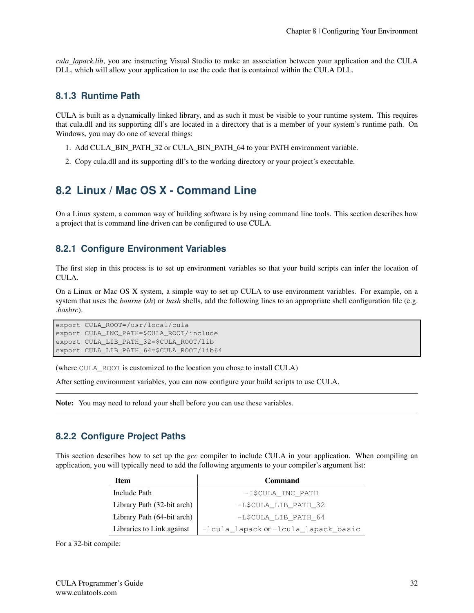*cula\_lapack.lib*, you are instructing Visual Studio to make an association between your application and the CULA DLL, which will allow your application to use the code that is contained within the CULA DLL.

## **8.1.3 Runtime Path**

CULA is built as a dynamically linked library, and as such it must be visible to your runtime system. This requires that cula.dll and its supporting dll's are located in a directory that is a member of your system's runtime path. On Windows, you may do one of several things:

- 1. Add CULA\_BIN\_PATH\_32 or CULA\_BIN\_PATH\_64 to your PATH environment variable.
- 2. Copy cula.dll and its supporting dll's to the working directory or your project's executable.

# <span id="page-34-0"></span>**8.2 Linux / Mac OS X - Command Line**

On a Linux system, a common way of building software is by using command line tools. This section describes how a project that is command line driven can be configured to use CULA.

## **8.2.1 Configure Environment Variables**

The first step in this process is to set up environment variables so that your build scripts can infer the location of CULA.

On a Linux or Mac OS X system, a simple way to set up CULA to use environment variables. For example, on a system that uses the *bourne* (*sh*) or *bash* shells, add the following lines to an appropriate shell configuration file (e.g. *.bashrc*).

```
export CULA_ROOT=/usr/local/cula
export CULA_INC_PATH=$CULA_ROOT/include
export CULA_LIB_PATH_32=$CULA_ROOT/lib
export CULA_LIB_PATH_64=$CULA_ROOT/lib64
```
(where CULA\_ROOT is customized to the location you chose to install CULA)

After setting environment variables, you can now configure your build scripts to use CULA.

Note: You may need to reload your shell before you can use these variables.

# **8.2.2 Configure Project Paths**

This section describes how to set up the *gcc* compiler to include CULA in your application. When compiling an application, you will typically need to add the following arguments to your compiler's argument list:

| <b>Item</b>                | <b>Command</b>                      |
|----------------------------|-------------------------------------|
| Include Path               | -I\$CULA INC PATH                   |
| Library Path (32-bit arch) | -L\$CULA LIB PATH 32                |
| Library Path (64-bit arch) | -L\$CULA LIB PATH 64                |
| Libraries to Link against  | -lcula_lapack or-lcula_lapack_basic |

For a 32-bit compile: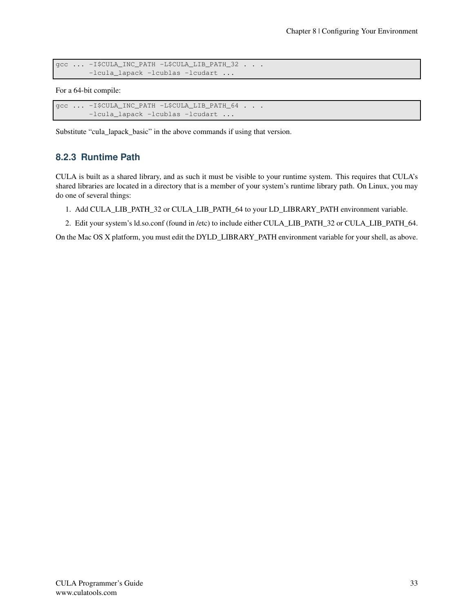```
gcc ... -I$CULA_INC_PATH -L$CULA_LIB_PATH_32 . . .
       -lcula_lapack -lcublas -lcudart ...
```
For a 64-bit compile:

```
gcc ... -I$CULA_INC_PATH -L$CULA_LIB_PATH_64 . . .
        -lcula_lapack -lcublas -lcudart ...
```
Substitute "cula\_lapack\_basic" in the above commands if using that version.

# **8.2.3 Runtime Path**

CULA is built as a shared library, and as such it must be visible to your runtime system. This requires that CULA's shared libraries are located in a directory that is a member of your system's runtime library path. On Linux, you may do one of several things:

- 1. Add CULA\_LIB\_PATH\_32 or CULA\_LIB\_PATH\_64 to your LD\_LIBRARY\_PATH environment variable.
- 2. Edit your system's ld.so.conf (found in /etc) to include either CULA\_LIB\_PATH\_32 or CULA\_LIB\_PATH\_64.

On the Mac OS X platform, you must edit the DYLD\_LIBRARY\_PATH environment variable for your shell, as above.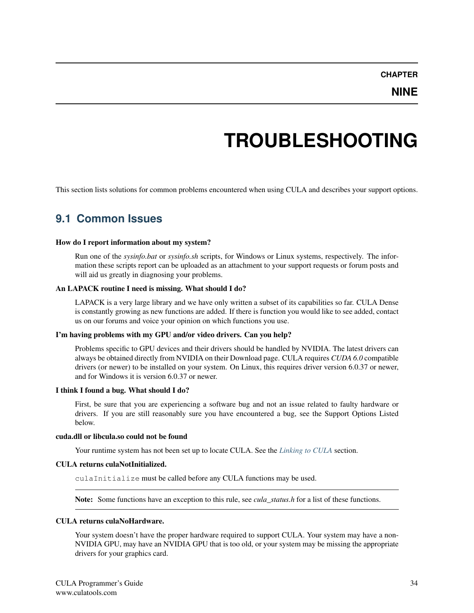# **TROUBLESHOOTING**

<span id="page-36-0"></span>This section lists solutions for common problems encountered when using CULA and describes your support options.

# <span id="page-36-1"></span>**9.1 Common Issues**

#### <span id="page-36-2"></span>How do I report information about my system?

Run one of the *sysinfo.bat* or *sysinfo.sh* scripts, for Windows or Linux systems, respectively. The information these scripts report can be uploaded as an attachment to your support requests or forum posts and will aid us greatly in diagnosing your problems.

#### An LAPACK routine I need is missing. What should I do?

LAPACK is a very large library and we have only written a subset of its capabilities so far. CULA Dense is constantly growing as new functions are added. If there is function you would like to see added, contact us on our forums and voice your opinion on which functions you use.

#### I'm having problems with my GPU and/or video drivers. Can you help?

Problems specific to GPU devices and their drivers should be handled by NVIDIA. The latest drivers can always be obtained directly from NVIDIA on their Download page. CULA requires *CUDA 6.0* compatible drivers (or newer) to be installed on your system. On Linux, this requires driver version 6.0.37 or newer, and for Windows it is version 6.0.37 or newer.

#### I think I found a bug. What should I do?

First, be sure that you are experiencing a software bug and not an issue related to faulty hardware or drivers. If you are still reasonably sure you have encountered a bug, see the Support Options Listed below.

#### cuda.dll or libcula.so could not be found

Your runtime system has not been set up to locate CULA. See the *[Linking to CULA](#page-17-1)* section.

#### CULA returns culaNotInitialized.

culaInitialize must be called before any CULA functions may be used.

Note: Some functions have an exception to this rule, see *cula status.h* for a list of these functions.

#### CULA returns culaNoHardware.

Your system doesn't have the proper hardware required to support CULA. Your system may have a non-NVIDIA GPU, may have an NVIDIA GPU that is too old, or your system may be missing the appropriate drivers for your graphics card.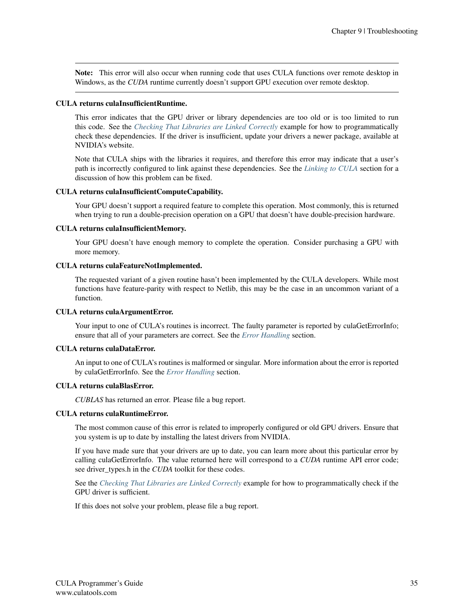Note: This error will also occur when running code that uses CULA functions over remote desktop in Windows, as the *CUDA* runtime currently doesn't support GPU execution over remote desktop.

#### CULA returns culaInsufficientRuntime.

This error indicates that the GPU driver or library dependencies are too old or is too limited to run this code. See the *[Checking That Libraries are Linked Correctly](#page-30-0)* example for how to programmatically check these dependencies. If the driver is insufficient, update your drivers a newer package, available at NVIDIA's website.

Note that CULA ships with the libraries it requires, and therefore this error may indicate that a user's path is incorrectly configured to link against these dependencies. See the *[Linking to CULA](#page-17-1)* section for a discussion of how this problem can be fixed.

#### CULA returns culaInsufficientComputeCapability.

Your GPU doesn't support a required feature to complete this operation. Most commonly, this is returned when trying to run a double-precision operation on a GPU that doesn't have double-precision hardware.

#### CULA returns culaInsufficientMemory.

Your GPU doesn't have enough memory to complete the operation. Consider purchasing a GPU with more memory.

#### CULA returns culaFeatureNotImplemented.

The requested variant of a given routine hasn't been implemented by the CULA developers. While most functions have feature-parity with respect to Netlib, this may be the case in an uncommon variant of a function.

#### CULA returns culaArgumentError.

Your input to one of CULA's routines is incorrect. The faulty parameter is reported by culaGetErrorInfo; ensure that all of your parameters are correct. See the *[Error Handling](#page-21-1)* section.

#### CULA returns culaDataError.

An input to one of CULA's routines is malformed or singular. More information about the error is reported by culaGetErrorInfo. See the *[Error Handling](#page-21-1)* section.

#### CULA returns culaBlasError.

*CUBLAS* has returned an error. Please file a bug report.

#### CULA returns culaRuntimeError.

The most common cause of this error is related to improperly configured or old GPU drivers. Ensure that you system is up to date by installing the latest drivers from NVIDIA.

If you have made sure that your drivers are up to date, you can learn more about this particular error by calling culaGetErrorInfo. The value returned here will correspond to a *CUDA* runtime API error code; see driver\_types.h in the *CUDA* toolkit for these codes.

See the *[Checking That Libraries are Linked Correctly](#page-30-0)* example for how to programmatically check if the GPU driver is sufficient.

If this does not solve your problem, please file a bug report.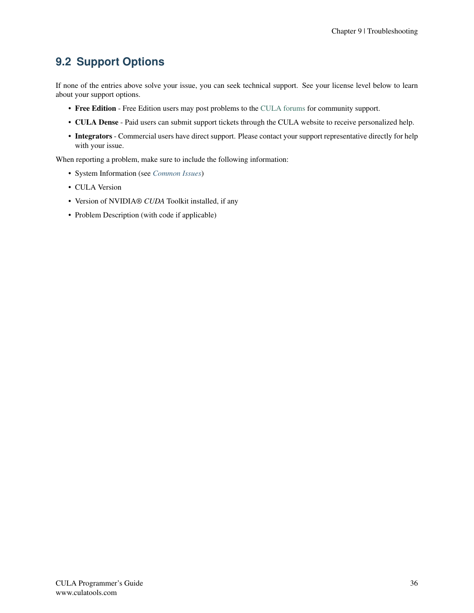# <span id="page-38-0"></span>**9.2 Support Options**

If none of the entries above solve your issue, you can seek technical support. See your license level below to learn about your support options.

- Free Edition Free Edition users may post problems to the [CULA forums](http://www.culatools.com/forums) for community support.
- CULA Dense Paid users can submit support tickets through the CULA website to receive personalized help.
- Integrators Commercial users have direct support. Please contact your support representative directly for help with your issue.

When reporting a problem, make sure to include the following information:

- System Information (see *[Common Issues](#page-36-2)*)
- CULA Version
- Version of NVIDIA® *CUDA* Toolkit installed, if any
- Problem Description (with code if applicable)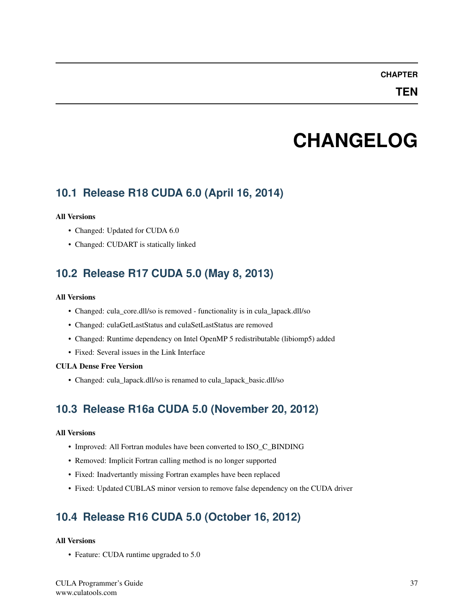### **CHAPTER**

**TEN**

# **CHANGELOG**

# <span id="page-39-1"></span><span id="page-39-0"></span>**10.1 Release R18 CUDA 6.0 (April 16, 2014)**

#### All Versions

- Changed: Updated for CUDA 6.0
- Changed: CUDART is statically linked

# <span id="page-39-2"></span>**10.2 Release R17 CUDA 5.0 (May 8, 2013)**

#### All Versions

- Changed: cula\_core.dll/so is removed functionality is in cula\_lapack.dll/so
- Changed: culaGetLastStatus and culaSetLastStatus are removed
- Changed: Runtime dependency on Intel OpenMP 5 redistributable (libiomp5) added
- Fixed: Several issues in the Link Interface

#### CULA Dense Free Version

• Changed: cula\_lapack.dll/so is renamed to cula\_lapack\_basic.dll/so

# <span id="page-39-3"></span>**10.3 Release R16a CUDA 5.0 (November 20, 2012)**

#### All Versions

- Improved: All Fortran modules have been converted to ISO\_C\_BINDING
- Removed: Implicit Fortran calling method is no longer supported
- Fixed: Inadvertantly missing Fortran examples have been replaced
- Fixed: Updated CUBLAS minor version to remove false dependency on the CUDA driver

# <span id="page-39-4"></span>**10.4 Release R16 CUDA 5.0 (October 16, 2012)**

### All Versions

• Feature: CUDA runtime upgraded to 5.0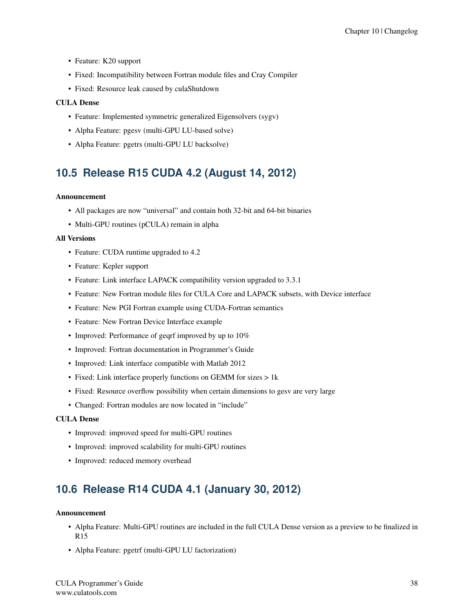- Feature: K20 support
- Fixed: Incompatibility between Fortran module files and Cray Compiler
- Fixed: Resource leak caused by culaShutdown

### CULA Dense

- Feature: Implemented symmetric generalized Eigensolvers (sygv)
- Alpha Feature: pgesv (multi-GPU LU-based solve)
- Alpha Feature: pgetrs (multi-GPU LU backsolve)

# <span id="page-40-0"></span>**10.5 Release R15 CUDA 4.2 (August 14, 2012)**

#### Announcement

- All packages are now "universal" and contain both 32-bit and 64-bit binaries
- Multi-GPU routines (pCULA) remain in alpha

### All Versions

- Feature: CUDA runtime upgraded to 4.2
- Feature: Kepler support
- Feature: Link interface LAPACK compatibility version upgraded to 3.3.1
- Feature: New Fortran module files for CULA Core and LAPACK subsets, with Device interface
- Feature: New PGI Fortran example using CUDA-Fortran semantics
- Feature: New Fortran Device Interface example
- Improved: Performance of geqrf improved by up to 10%
- Improved: Fortran documentation in Programmer's Guide
- Improved: Link interface compatible with Matlab 2012
- Fixed: Link interface properly functions on GEMM for sizes > 1k
- Fixed: Resource overflow possibility when certain dimensions to gesv are very large
- Changed: Fortran modules are now located in "include"

### CULA Dense

- Improved: improved speed for multi-GPU routines
- Improved: improved scalability for multi-GPU routines
- Improved: reduced memory overhead

# <span id="page-40-1"></span>**10.6 Release R14 CUDA 4.1 (January 30, 2012)**

### Announcement

- Alpha Feature: Multi-GPU routines are included in the full CULA Dense version as a preview to be finalized in R15
- Alpha Feature: pgetrf (multi-GPU LU factorization)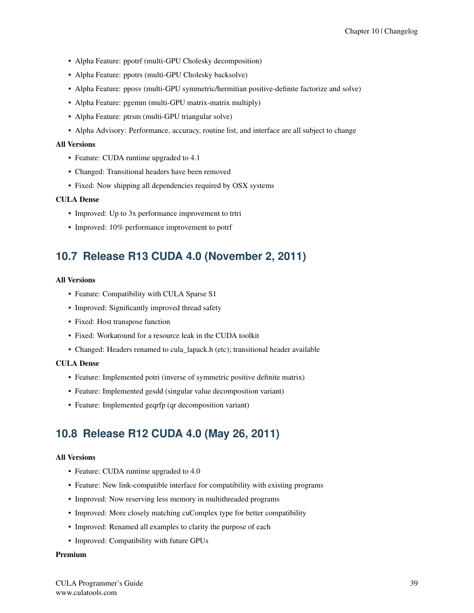- Alpha Feature: ppotrf (multi-GPU Cholesky decomposition)
- Alpha Feature: ppotrs (multi-GPU Cholesky backsolve)
- Alpha Feature: pposv (multi-GPU symmetric/hermitian positive-definite factorize and solve)
- Alpha Feature: pgemm (multi-GPU matrix-matrix multiply)
- Alpha Feature: ptrsm (multi-GPU triangular solve)
- Alpha Advisory: Performance, accuracy, routine list, and interface are all subject to change

- Feature: CUDA runtime upgraded to 4.1
- Changed: Transitional headers have been removed
- Fixed: Now shipping all dependencies required by OSX systems

#### CULA Dense

- Improved: Up to 3x performance improvement to trtri
- Improved: 10% performance improvement to potrf

# <span id="page-41-0"></span>**10.7 Release R13 CUDA 4.0 (November 2, 2011)**

#### All Versions

- Feature: Compatibility with CULA Sparse S1
- Improved: Significantly improved thread safety
- Fixed: Host transpose function
- Fixed: Workaround for a resource leak in the CUDA toolkit
- Changed: Headers renamed to cula\_lapack.h (etc); transitional header available

#### CULA Dense

- Feature: Implemented potri (inverse of symmetric positive definite matrix)
- Feature: Implemented gesdd (singular value decomposition variant)
- Feature: Implemented geqrfp (qr decomposition variant)

# <span id="page-41-1"></span>**10.8 Release R12 CUDA 4.0 (May 26, 2011)**

#### All Versions

- Feature: CUDA runtime upgraded to 4.0
- Feature: New link-compatible interface for compatibility with existing programs
- Improved: Now reserving less memory in multithreaded programs
- Improved: More closely matching cuComplex type for better compatibility
- Improved: Renamed all examples to clarity the purpose of each
- Improved: Compatibility with future GPUs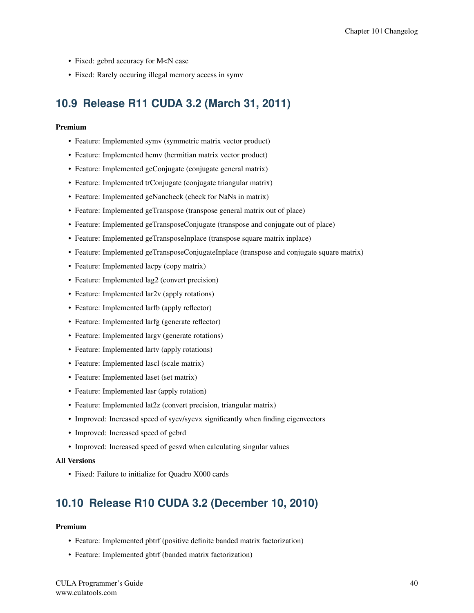- Fixed: gebrd accuracy for M<N case
- Fixed: Rarely occuring illegal memory access in symv

# <span id="page-42-0"></span>**10.9 Release R11 CUDA 3.2 (March 31, 2011)**

#### Premium

- Feature: Implemented symv (symmetric matrix vector product)
- Feature: Implemented hemv (hermitian matrix vector product)
- Feature: Implemented geConjugate (conjugate general matrix)
- Feature: Implemented trConjugate (conjugate triangular matrix)
- Feature: Implemented geNancheck (check for NaNs in matrix)
- Feature: Implemented geTranspose (transpose general matrix out of place)
- Feature: Implemented geTransposeConjugate (transpose and conjugate out of place)
- Feature: Implemented geTransposeInplace (transpose square matrix inplace)
- Feature: Implemented geTransposeConjugateInplace (transpose and conjugate square matrix)
- Feature: Implemented lacpy (copy matrix)
- Feature: Implemented lag2 (convert precision)
- Feature: Implemented lar2v (apply rotations)
- Feature: Implemented larfb (apply reflector)
- Feature: Implemented larfg (generate reflector)
- Feature: Implemented largv (generate rotations)
- Feature: Implemented lartv (apply rotations)
- Feature: Implemented lascl (scale matrix)
- Feature: Implemented laset (set matrix)
- Feature: Implemented lasr (apply rotation)
- Feature: Implemented lat2z (convert precision, triangular matrix)
- Improved: Increased speed of syev/syevx significantly when finding eigenvectors
- Improved: Increased speed of gebrd
- Improved: Increased speed of gesvd when calculating singular values

#### All Versions

• Fixed: Failure to initialize for Quadro X000 cards

# <span id="page-42-1"></span>**10.10 Release R10 CUDA 3.2 (December 10, 2010)**

- Feature: Implemented pbtrf (positive definite banded matrix factorization)
- Feature: Implemented gbtrf (banded matrix factorization)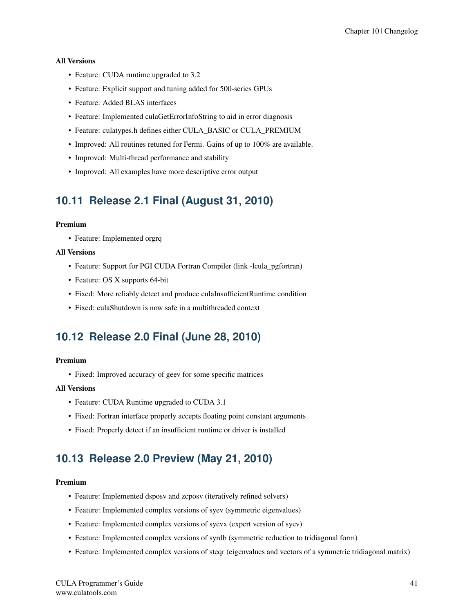- Feature: CUDA runtime upgraded to 3.2
- Feature: Explicit support and tuning added for 500-series GPUs
- Feature: Added BLAS interfaces
- Feature: Implemented culaGetErrorInfoString to aid in error diagnosis
- Feature: culatypes.h defines either CULA\_BASIC or CULA\_PREMIUM
- Improved: All routines retuned for Fermi. Gains of up to 100% are available.
- Improved: Multi-thread performance and stability
- Improved: All examples have more descriptive error output

# <span id="page-43-0"></span>**10.11 Release 2.1 Final (August 31, 2010)**

#### Premium

• Feature: Implemented orgrq

### All Versions

- Feature: Support for PGI CUDA Fortran Compiler (link -lcula\_pgfortran)
- Feature: OS X supports 64-bit
- Fixed: More reliably detect and produce culaInsufficientRuntime condition
- Fixed: culaShutdown is now safe in a multithreaded context

# <span id="page-43-1"></span>**10.12 Release 2.0 Final (June 28, 2010)**

#### Premium

• Fixed: Improved accuracy of geev for some specific matrices

### All Versions

- Feature: CUDA Runtime upgraded to CUDA 3.1
- Fixed: Fortran interface properly accepts floating point constant arguments
- Fixed: Properly detect if an insufficient runtime or driver is installed

# <span id="page-43-2"></span>**10.13 Release 2.0 Preview (May 21, 2010)**

- Feature: Implemented dsposv and zcposv (iteratively refined solvers)
- Feature: Implemented complex versions of syev (symmetric eigenvalues)
- Feature: Implemented complex versions of syevx (expert version of syev)
- Feature: Implemented complex versions of syrdb (symmetric reduction to tridiagonal form)
- Feature: Implemented complex versions of steqr (eigenvalues and vectors of a symmetric tridiagonal matrix)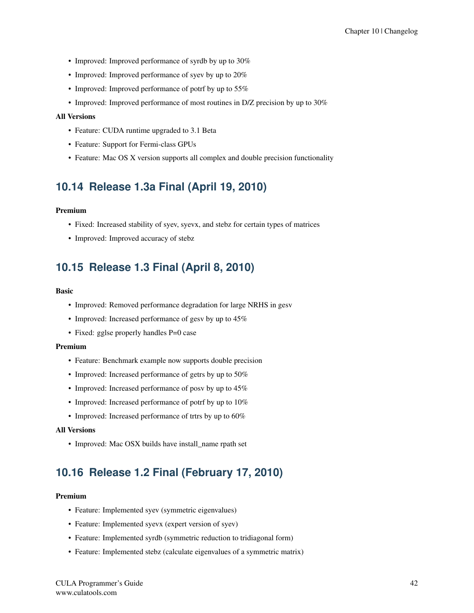- Improved: Improved performance of syrdb by up to 30%
- Improved: Improved performance of syev by up to 20%
- Improved: Improved performance of potrf by up to 55%
- Improved: Improved performance of most routines in D/Z precision by up to 30%

- Feature: CUDA runtime upgraded to 3.1 Beta
- Feature: Support for Fermi-class GPUs
- Feature: Mac OS X version supports all complex and double precision functionality

# <span id="page-44-0"></span>**10.14 Release 1.3a Final (April 19, 2010)**

#### Premium

- Fixed: Increased stability of syev, syevx, and stebz for certain types of matrices
- Improved: Improved accuracy of stebz

# <span id="page-44-1"></span>**10.15 Release 1.3 Final (April 8, 2010)**

#### Basic

- Improved: Removed performance degradation for large NRHS in gesv
- Improved: Increased performance of gesv by up to 45%
- Fixed: gglse properly handles P=0 case

#### Premium

- Feature: Benchmark example now supports double precision
- Improved: Increased performance of getrs by up to 50%
- Improved: Increased performance of posy by up to  $45\%$
- Improved: Increased performance of potrf by up to 10%
- Improved: Increased performance of trtrs by up to 60%

#### All Versions

• Improved: Mac OSX builds have install name rpath set

# <span id="page-44-2"></span>**10.16 Release 1.2 Final (February 17, 2010)**

- Feature: Implemented syev (symmetric eigenvalues)
- Feature: Implemented syevx (expert version of syev)
- Feature: Implemented syrdb (symmetric reduction to tridiagonal form)
- Feature: Implemented stebz (calculate eigenvalues of a symmetric matrix)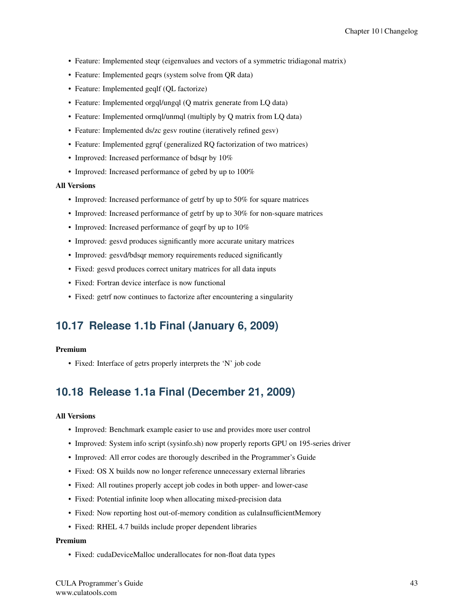- Feature: Implemented steqr (eigenvalues and vectors of a symmetric tridiagonal matrix)
- Feature: Implemented geqrs (system solve from QR data)
- Feature: Implemented geqlf (QL factorize)
- Feature: Implemented orgql/ungql (Q matrix generate from LQ data)
- Feature: Implemented ormql/unmql (multiply by Q matrix from LQ data)
- Feature: Implemented ds/zc gesv routine (iteratively refined gesv)
- Feature: Implemented ggrqf (generalized RQ factorization of two matrices)
- Improved: Increased performance of bdsqr by 10%
- Improved: Increased performance of gebrd by up to 100%

- Improved: Increased performance of getrf by up to 50% for square matrices
- Improved: Increased performance of getrf by up to 30% for non-square matrices
- Improved: Increased performance of geqrf by up to 10%
- Improved: gesvd produces significantly more accurate unitary matrices
- Improved: gesvd/bdsqr memory requirements reduced significantly
- Fixed: gesvd produces correct unitary matrices for all data inputs
- Fixed: Fortran device interface is now functional
- Fixed: getrf now continues to factorize after encountering a singularity

# <span id="page-45-0"></span>**10.17 Release 1.1b Final (January 6, 2009)**

#### Premium

• Fixed: Interface of getrs properly interprets the 'N' job code

# <span id="page-45-1"></span>**10.18 Release 1.1a Final (December 21, 2009)**

#### All Versions

- Improved: Benchmark example easier to use and provides more user control
- Improved: System info script (sysinfo.sh) now properly reports GPU on 195-series driver
- Improved: All error codes are thorougly described in the Programmer's Guide
- Fixed: OS X builds now no longer reference unnecessary external libraries
- Fixed: All routines properly accept job codes in both upper- and lower-case
- Fixed: Potential infinite loop when allocating mixed-precision data
- Fixed: Now reporting host out-of-memory condition as culaInsufficientMemory
- Fixed: RHEL 4.7 builds include proper dependent libraries

#### Premium

• Fixed: cudaDeviceMalloc underallocates for non-float data types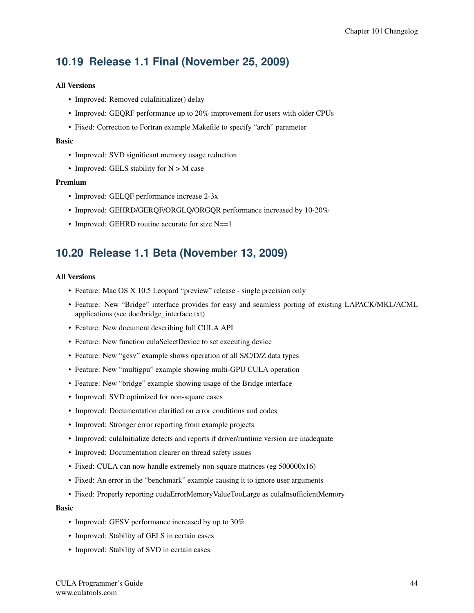# <span id="page-46-0"></span>**10.19 Release 1.1 Final (November 25, 2009)**

### All Versions

- Improved: Removed culaInitialize() delay
- Improved: GEQRF performance up to 20% improvement for users with older CPUs
- Fixed: Correction to Fortran example Makefile to specify "arch" parameter

#### Basic

- Improved: SVD significant memory usage reduction
- Improved: GELS stability for  $N > M$  case

#### Premium

- Improved: GELQF performance increase 2-3x
- Improved: GEHRD/GERQF/ORGLQ/ORGQR performance increased by 10-20%
- Improved: GEHRD routine accurate for size N==1

# <span id="page-46-1"></span>**10.20 Release 1.1 Beta (November 13, 2009)**

### All Versions

- Feature: Mac OS X 10.5 Leopard "preview" release single precision only
- Feature: New "Bridge" interface provides for easy and seamless porting of existing LAPACK/MKL/ACML applications (see doc/bridge\_interface.txt)
- Feature: New document describing full CULA API
- Feature: New function culaSelectDevice to set executing device
- Feature: New "gesv" example shows operation of all S/C/D/Z data types
- Feature: New "multigpu" example showing multi-GPU CULA operation
- Feature: New "bridge" example showing usage of the Bridge interface
- Improved: SVD optimized for non-square cases
- Improved: Documentation clarified on error conditions and codes
- Improved: Stronger error reporting from example projects
- Improved: culaInitialize detects and reports if driver/runtime version are inadequate
- Improved: Documentation clearer on thread safety issues
- Fixed: CULA can now handle extremely non-square matrices (eg 500000x16)
- Fixed: An error in the "benchmark" example causing it to ignore user arguments
- Fixed: Properly reporting cudaErrorMemoryValueTooLarge as culaInsufficientMemory

#### Basic

- Improved: GESV performance increased by up to 30%
- Improved: Stability of GELS in certain cases
- Improved: Stability of SVD in certain cases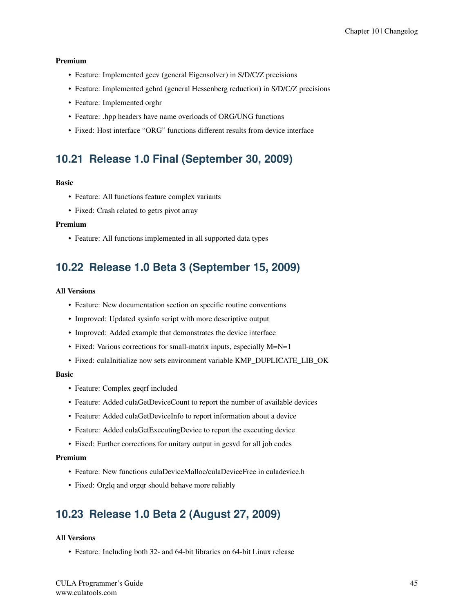#### Premium

- Feature: Implemented geev (general Eigensolver) in S/D/C/Z precisions
- Feature: Implemented gehrd (general Hessenberg reduction) in S/D/C/Z precisions
- Feature: Implemented orghr
- Feature: .hpp headers have name overloads of ORG/UNG functions
- Fixed: Host interface "ORG" functions different results from device interface

# <span id="page-47-0"></span>**10.21 Release 1.0 Final (September 30, 2009)**

#### Basic

- Feature: All functions feature complex variants
- Fixed: Crash related to getrs pivot array

#### Premium

• Feature: All functions implemented in all supported data types

# <span id="page-47-1"></span>**10.22 Release 1.0 Beta 3 (September 15, 2009)**

#### All Versions

- Feature: New documentation section on specific routine conventions
- Improved: Updated sysinfo script with more descriptive output
- Improved: Added example that demonstrates the device interface
- Fixed: Various corrections for small-matrix inputs, especially M=N=1
- Fixed: culaInitialize now sets environment variable KMP\_DUPLICATE\_LIB\_OK

#### Basic

- Feature: Complex geqrf included
- Feature: Added culaGetDeviceCount to report the number of available devices
- Feature: Added culaGetDeviceInfo to report information about a device
- Feature: Added culaGetExecutingDevice to report the executing device
- Fixed: Further corrections for unitary output in gesvd for all job codes

#### Premium

- Feature: New functions culaDeviceMalloc/culaDeviceFree in culadevice.h
- Fixed: Orglq and orgqr should behave more reliably

# <span id="page-47-2"></span>**10.23 Release 1.0 Beta 2 (August 27, 2009)**

### All Versions

• Feature: Including both 32- and 64-bit libraries on 64-bit Linux release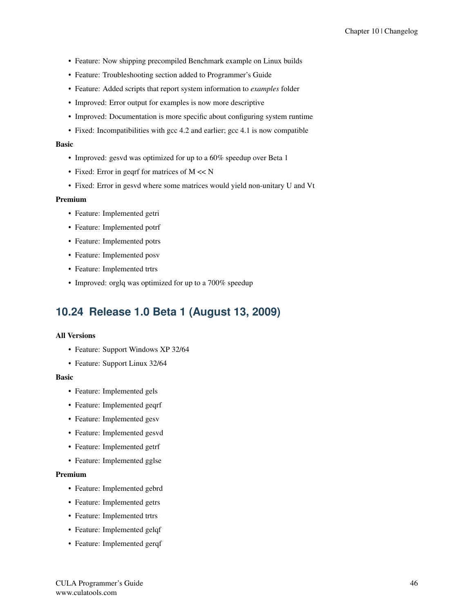- Feature: Now shipping precompiled Benchmark example on Linux builds
- Feature: Troubleshooting section added to Programmer's Guide
- Feature: Added scripts that report system information to *examples* folder
- Improved: Error output for examples is now more descriptive
- Improved: Documentation is more specific about configuring system runtime
- Fixed: Incompatibilities with gcc 4.2 and earlier; gcc 4.1 is now compatible

#### Basic

- Improved: gesvd was optimized for up to a 60% speedup over Beta 1
- Fixed: Error in geqrf for matrices of M << N
- Fixed: Error in gesvd where some matrices would yield non-unitary U and Vt

#### Premium

- Feature: Implemented getri
- Feature: Implemented potrf
- Feature: Implemented potrs
- Feature: Implemented posv
- Feature: Implemented trtrs
- Improved: orglq was optimized for up to a 700% speedup

# <span id="page-48-0"></span>**10.24 Release 1.0 Beta 1 (August 13, 2009)**

#### All Versions

- Feature: Support Windows XP 32/64
- Feature: Support Linux 32/64

#### Basic

- Feature: Implemented gels
- Feature: Implemented geqrf
- Feature: Implemented gesv
- Feature: Implemented gesvd
- Feature: Implemented getrf
- Feature: Implemented gglse

- Feature: Implemented gebrd
- Feature: Implemented getrs
- Feature: Implemented trtrs
- Feature: Implemented gelqf
- Feature: Implemented gerqf